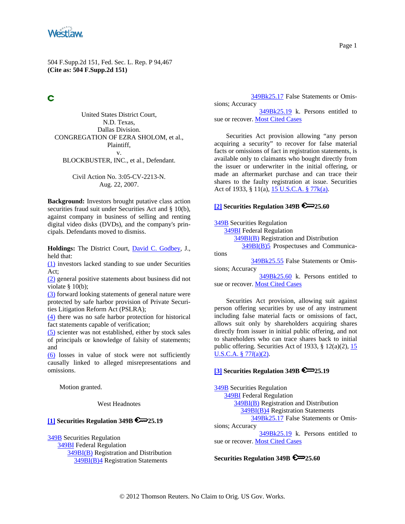<span id="page-0-0"></span>

# C

United States District Court, N.D. Texas, Dallas Division. CONGREGATION OF EZRA SHOLOM, et al., Plaintiff, v. BLOCKBUSTER, INC., et al., Defendant.

> Civil Action No. 3:05-CV-2213-N. Aug. 22, 2007.

**Background:** Investors brought putative class action securities fraud suit under Securities Act and § 10(b), against company in business of selling and renting digital video disks (DVDs), and the company's principals. Defendants moved to dismiss.

**Holdings:** The District Court, [David C. Godbey,](http://www.westlaw.com/Find/Default.wl?rs=dfa1.0&vr=2.0&DB=PROFILER-WLD&DocName=0138933601&FindType=h) J., held that:

[\(1\)](#page-7-0) investors lacked standing to sue under Securities Act;

[\(2\)](#page-9-0) general positive statements about business did not violate  $§$  10(b);

[\(3\)](#page-10-0) forward looking statements of general nature were protected by safe harbor provision of Private Securities Litigation Reform Act (PSLRA);

[\(4\)](#page-11-0) there was no safe harbor protection for historical fact statements capable of verification;

[\(5\)](#page-12-0) scienter was not established, either by stock sales of principals or knowledge of falsity of statements; and

[\(6\)](#page-12-0) losses in value of stock were not sufficiently causally linked to alleged misrepresentations and omissions.

Motion granted.

West Headnotes

#### **[\[1\]](#page-7-0) Securities Regulation 349B 25.19**

[349B](http://www.westlaw.com/KeyNumber/Default.wl?rs=dfa1.0&vr=2.0&CMD=KEY&DocName=349B) Securities Regulation [349BI](http://www.westlaw.com/KeyNumber/Default.wl?rs=dfa1.0&vr=2.0&CMD=KEY&DocName=349BI) Federal Regulation [349BI\(B\)](http://www.westlaw.com/KeyNumber/Default.wl?rs=dfa1.0&vr=2.0&CMD=KEY&DocName=349BI%28B%29) Registration and Distribution [349BI\(B\)4](http://www.westlaw.com/KeyNumber/Default.wl?rs=dfa1.0&vr=2.0&CMD=KEY&DocName=349BI%28B%294) Registration Statements

 [349Bk25.17](http://www.westlaw.com/KeyNumber/Default.wl?rs=dfa1.0&vr=2.0&CMD=KEY&DocName=349Bk25.17) False Statements or Omissions; Accuracy

 [349Bk25.19](http://www.westlaw.com/KeyNumber/Default.wl?rs=dfa1.0&vr=2.0&CMD=KEY&DocName=349Bk25.19) k. Persons entitled to sue or recover. [Most Cited Cases](http://www.westlaw.com/Digest/Default.wl?rs=dfa1.0&vr=2.0&CMD=MCC&DocName=349Bk25.19)

Securities Act provision allowing "any person acquiring a security" to recover for false material facts or omissions of fact in registration statements, is available only to claimants who bought directly from the issuer or underwriter in the initial offering, or made an aftermarket purchase and can trace their shares to the faulty registration at issue. Securities Act of 1933, § 11(a), [15 U.S.C.A. § 77k\(a\).](http://www.westlaw.com/Find/Default.wl?rs=dfa1.0&vr=2.0&DB=1000546&DocName=15USCAS77K&FindType=L&ReferencePositionType=T&ReferencePosition=SP_8b3b0000958a4)

#### **[\[2\]](#page-7-0) Securities Regulation 349B 25.60**

[349B](http://www.westlaw.com/KeyNumber/Default.wl?rs=dfa1.0&vr=2.0&CMD=KEY&DocName=349B) Securities Regulation [349BI](http://www.westlaw.com/KeyNumber/Default.wl?rs=dfa1.0&vr=2.0&CMD=KEY&DocName=349BI) Federal Regulation [349BI\(B\)](http://www.westlaw.com/KeyNumber/Default.wl?rs=dfa1.0&vr=2.0&CMD=KEY&DocName=349BI%28B%29) Registration and Distribution [349BI\(B\)5](http://www.westlaw.com/KeyNumber/Default.wl?rs=dfa1.0&vr=2.0&CMD=KEY&DocName=349BI%28B%295) Prospectuses and Communications [349Bk25.55](http://www.westlaw.com/KeyNumber/Default.wl?rs=dfa1.0&vr=2.0&CMD=KEY&DocName=349Bk25.55) False Statements or Omissions; Accuracy [349Bk25.60](http://www.westlaw.com/KeyNumber/Default.wl?rs=dfa1.0&vr=2.0&CMD=KEY&DocName=349Bk25.60) k. Persons entitled to

sue or recover. [Most Cited Cases](http://www.westlaw.com/Digest/Default.wl?rs=dfa1.0&vr=2.0&CMD=MCC&DocName=349Bk25.60)

Securities Act provision, allowing suit against person offering securities by use of any instrument including false material facts or omissions of fact, allows suit only by shareholders acquiring shares directly from issuer in initial public offering, and not to shareholders who can trace shares back to initial public offering. Securities Act of 1933,  $\S$  12(a)(2), 15 [U.S.C.A. § 77](http://www.westlaw.com/Find/Default.wl?rs=dfa1.0&vr=2.0&DB=1000546&DocName=15USCAS77L&FindType=L&ReferencePositionType=T&ReferencePosition=SP_d86d0000be040)*[l](http://www.westlaw.com/Find/Default.wl?rs=dfa1.0&vr=2.0&DB=1000546&DocName=15USCAS77L&FindType=L&ReferencePositionType=T&ReferencePosition=SP_d86d0000be040)*[\(a\)\(2\)](http://www.westlaw.com/Find/Default.wl?rs=dfa1.0&vr=2.0&DB=1000546&DocName=15USCAS77L&FindType=L&ReferencePositionType=T&ReferencePosition=SP_d86d0000be040).

### **[\[3\]](#page-7-0) Securities Regulation 349B 25.19**

[349B](http://www.westlaw.com/KeyNumber/Default.wl?rs=dfa1.0&vr=2.0&CMD=KEY&DocName=349B) Securities Regulation [349BI](http://www.westlaw.com/KeyNumber/Default.wl?rs=dfa1.0&vr=2.0&CMD=KEY&DocName=349BI) Federal Regulation [349BI\(B\)](http://www.westlaw.com/KeyNumber/Default.wl?rs=dfa1.0&vr=2.0&CMD=KEY&DocName=349BI%28B%29) Registration and Distribution [349BI\(B\)4](http://www.westlaw.com/KeyNumber/Default.wl?rs=dfa1.0&vr=2.0&CMD=KEY&DocName=349BI%28B%294) Registration Statements [349Bk25.17](http://www.westlaw.com/KeyNumber/Default.wl?rs=dfa1.0&vr=2.0&CMD=KEY&DocName=349Bk25.17) False Statements or Omissions; Accuracy [349Bk25.19](http://www.westlaw.com/KeyNumber/Default.wl?rs=dfa1.0&vr=2.0&CMD=KEY&DocName=349Bk25.19) k. Persons entitled to sue or recover. [Most Cited Cases](http://www.westlaw.com/Digest/Default.wl?rs=dfa1.0&vr=2.0&CMD=MCC&DocName=349Bk25.19)

# **Securities Regulation 349B 25.60**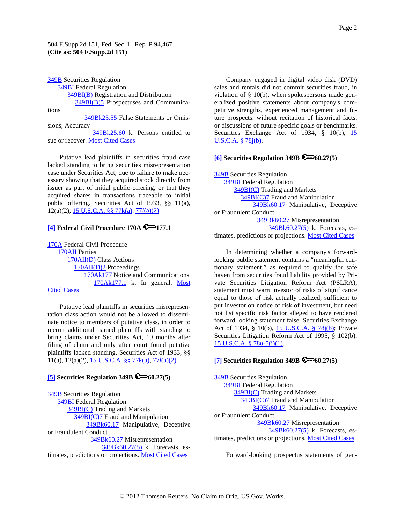<span id="page-1-0"></span>[349B](http://www.westlaw.com/KeyNumber/Default.wl?rs=dfa1.0&vr=2.0&CMD=KEY&DocName=349B) Securities Regulation [349BI](http://www.westlaw.com/KeyNumber/Default.wl?rs=dfa1.0&vr=2.0&CMD=KEY&DocName=349BI) Federal Regulation [349BI\(B\)](http://www.westlaw.com/KeyNumber/Default.wl?rs=dfa1.0&vr=2.0&CMD=KEY&DocName=349BI%28B%29) Registration and Distribution [349BI\(B\)5](http://www.westlaw.com/KeyNumber/Default.wl?rs=dfa1.0&vr=2.0&CMD=KEY&DocName=349BI%28B%295) Prospectuses and Communica-

tions

 [349Bk25.55](http://www.westlaw.com/KeyNumber/Default.wl?rs=dfa1.0&vr=2.0&CMD=KEY&DocName=349Bk25.55) False Statements or Omissions; Accuracy

 [349Bk25.60](http://www.westlaw.com/KeyNumber/Default.wl?rs=dfa1.0&vr=2.0&CMD=KEY&DocName=349Bk25.60) k. Persons entitled to sue or recover. [Most Cited Cases](http://www.westlaw.com/Digest/Default.wl?rs=dfa1.0&vr=2.0&CMD=MCC&DocName=349Bk25.60)

Putative lead plaintiffs in securities fraud case lacked standing to bring securities misrepresentation case under Securities Act, due to failure to make necessary showing that they acquired stock directly from issuer as part of initial public offering, or that they acquired shares in transactions traceable to initial public offering. Securities Act of 1933, §§ 11(a), 12(a)(2), [15 U.S.C.A. §§ 77k\(a\)](http://www.westlaw.com/Find/Default.wl?rs=dfa1.0&vr=2.0&DB=1000546&DocName=15USCAS77K&FindType=L&ReferencePositionType=T&ReferencePosition=SP_8b3b0000958a4), [77](http://www.westlaw.com/Find/Default.wl?rs=dfa1.0&vr=2.0&DB=1000546&DocName=15USCAS77L&FindType=L&ReferencePositionType=T&ReferencePosition=SP_d86d0000be040)*[l](http://www.westlaw.com/Find/Default.wl?rs=dfa1.0&vr=2.0&DB=1000546&DocName=15USCAS77L&FindType=L&ReferencePositionType=T&ReferencePosition=SP_d86d0000be040)*[\(a\)\(2\).](http://www.westlaw.com/Find/Default.wl?rs=dfa1.0&vr=2.0&DB=1000546&DocName=15USCAS77L&FindType=L&ReferencePositionType=T&ReferencePosition=SP_d86d0000be040)

# **[\[4\]](#page-8-0) Federal Civil Procedure 170A 4** 177.1

[170A](http://www.westlaw.com/KeyNumber/Default.wl?rs=dfa1.0&vr=2.0&CMD=KEY&DocName=170A) Federal Civil Procedure [170AII](http://www.westlaw.com/KeyNumber/Default.wl?rs=dfa1.0&vr=2.0&CMD=KEY&DocName=170AII) Parties [170AII\(D\)](http://www.westlaw.com/KeyNumber/Default.wl?rs=dfa1.0&vr=2.0&CMD=KEY&DocName=170AII%28D%29) Class Actions [170AII\(D\)2](http://www.westlaw.com/KeyNumber/Default.wl?rs=dfa1.0&vr=2.0&CMD=KEY&DocName=170AII%28D%292) Proceedings [170Ak177](http://www.westlaw.com/KeyNumber/Default.wl?rs=dfa1.0&vr=2.0&CMD=KEY&DocName=170Ak177) Notice and Communications [170Ak177.1](http://www.westlaw.com/KeyNumber/Default.wl?rs=dfa1.0&vr=2.0&CMD=KEY&DocName=170Ak177.1) k. In general. [Most](http://www.westlaw.com/Digest/Default.wl?rs=dfa1.0&vr=2.0&CMD=MCC&DocName=170Ak177.1) 

# [Cited Cases](http://www.westlaw.com/Digest/Default.wl?rs=dfa1.0&vr=2.0&CMD=MCC&DocName=170Ak177.1)

Putative lead plaintiffs in securities misrepresentation class action would not be allowed to disseminate notice to members of putative class, in order to recruit additional named plaintiffs with standing to bring claims under Securities Act, 19 months after filing of claim and only after court found putative plaintiffs lacked standing. Securities Act of 1933, §§ 11(a), 12(a)(2), [15 U.S.C.A. §§ 77k\(a\)](http://www.westlaw.com/Find/Default.wl?rs=dfa1.0&vr=2.0&DB=1000546&DocName=15USCAS77K&FindType=L&ReferencePositionType=T&ReferencePosition=SP_8b3b0000958a4), [77](http://www.westlaw.com/Find/Default.wl?rs=dfa1.0&vr=2.0&DB=1000546&DocName=15USCAS77L&FindType=L&ReferencePositionType=T&ReferencePosition=SP_d86d0000be040)*[l](http://www.westlaw.com/Find/Default.wl?rs=dfa1.0&vr=2.0&DB=1000546&DocName=15USCAS77L&FindType=L&ReferencePositionType=T&ReferencePosition=SP_d86d0000be040)*[\(a\)\(2\).](http://www.westlaw.com/Find/Default.wl?rs=dfa1.0&vr=2.0&DB=1000546&DocName=15USCAS77L&FindType=L&ReferencePositionType=T&ReferencePosition=SP_d86d0000be040)

# **[\[5\]](#page-9-0) Securities Regulation 349B**  $\mathbb{R}$  = 60.27(5)

[349B](http://www.westlaw.com/KeyNumber/Default.wl?rs=dfa1.0&vr=2.0&CMD=KEY&DocName=349B) Securities Regulation [349BI](http://www.westlaw.com/KeyNumber/Default.wl?rs=dfa1.0&vr=2.0&CMD=KEY&DocName=349BI) Federal Regulation [349BI\(C\)](http://www.westlaw.com/KeyNumber/Default.wl?rs=dfa1.0&vr=2.0&CMD=KEY&DocName=349BI%28C%29) Trading and Markets [349BI\(C\)7](http://www.westlaw.com/KeyNumber/Default.wl?rs=dfa1.0&vr=2.0&CMD=KEY&DocName=349BI%28C%297) Fraud and Manipulation [349Bk60.17](http://www.westlaw.com/KeyNumber/Default.wl?rs=dfa1.0&vr=2.0&CMD=KEY&DocName=349Bk60.17) Manipulative, Deceptive or Fraudulent Conduct [349Bk60.27](http://www.westlaw.com/KeyNumber/Default.wl?rs=dfa1.0&vr=2.0&CMD=KEY&DocName=349Bk60.27) Misrepresentation [349Bk60.27\(5\)](http://www.westlaw.com/KeyNumber/Default.wl?rs=dfa1.0&vr=2.0&CMD=KEY&DocName=349Bk60.27%285%29) k. Forecasts, estimates, predictions or projections. [Most Cited Cases](http://www.westlaw.com/Digest/Default.wl?rs=dfa1.0&vr=2.0&CMD=MCC&DocName=349Bk60.27%285%29)

Company engaged in digital video disk (DVD) sales and rentals did not commit securities fraud, in violation of § 10(b), when spokespersons made generalized positive statements about company's competitive strengths, experienced management and future prospects, without recitation of historical facts, or discussions of future specific goals or benchmarks. Securities Exchange Act of 1934, § 10(b), 15 [U.S.C.A. § 78j\(b\)](http://www.westlaw.com/Find/Default.wl?rs=dfa1.0&vr=2.0&DB=1000546&DocName=15USCAS78J&FindType=L&ReferencePositionType=T&ReferencePosition=SP_a83b000018c76).

### **[\[6\]](#page-9-0) Securities Regulation 349B 60.27(5)**

[349B](http://www.westlaw.com/KeyNumber/Default.wl?rs=dfa1.0&vr=2.0&CMD=KEY&DocName=349B) Securities Regulation **[349BI](http://www.westlaw.com/KeyNumber/Default.wl?rs=dfa1.0&vr=2.0&CMD=KEY&DocName=349BI)** Federal Regulation [349BI\(C\)](http://www.westlaw.com/KeyNumber/Default.wl?rs=dfa1.0&vr=2.0&CMD=KEY&DocName=349BI%28C%29) Trading and Markets [349BI\(C\)7](http://www.westlaw.com/KeyNumber/Default.wl?rs=dfa1.0&vr=2.0&CMD=KEY&DocName=349BI%28C%297) Fraud and Manipulation [349Bk60.17](http://www.westlaw.com/KeyNumber/Default.wl?rs=dfa1.0&vr=2.0&CMD=KEY&DocName=349Bk60.17) Manipulative, Deceptive or Fraudulent Conduct [349Bk60.27](http://www.westlaw.com/KeyNumber/Default.wl?rs=dfa1.0&vr=2.0&CMD=KEY&DocName=349Bk60.27) Misrepresentation [349Bk60.27\(5\)](http://www.westlaw.com/KeyNumber/Default.wl?rs=dfa1.0&vr=2.0&CMD=KEY&DocName=349Bk60.27%285%29) k. Forecasts, estimates, predictions or projections. [Most Cited Cases](http://www.westlaw.com/Digest/Default.wl?rs=dfa1.0&vr=2.0&CMD=MCC&DocName=349Bk60.27%285%29)

In determining whether a company's forwardlooking public statement contains a "meaningful cautionary statement," as required to qualify for safe haven from securities fraud liability provided by Private Securities Litigation Reform Act (PSLRA), statement must warn investor of risks of significance equal to those of risk actually realized, sufficient to put investor on notice of risk of investment, but need not list specific risk factor alleged to have rendered forward looking statement false. Securities Exchange Act of 1934, § 10(b), [15 U.S.C.A. § 78j\(b\)](http://www.westlaw.com/Find/Default.wl?rs=dfa1.0&vr=2.0&DB=1000546&DocName=15USCAS78J&FindType=L&ReferencePositionType=T&ReferencePosition=SP_a83b000018c76); Private Securities Litigation Reform Act of 1995, § 102(b), [15 U.S.C.A. § 78u-5\(i\)\(1\).](http://www.westlaw.com/Find/Default.wl?rs=dfa1.0&vr=2.0&DB=1000546&DocName=15USCAS78U-5&FindType=L&ReferencePositionType=T&ReferencePosition=SP_2d8d0000f3311)

# **[\[7\]](#page-10-0) Securities Regulation 349B 60.27(5)**

[349B](http://www.westlaw.com/KeyNumber/Default.wl?rs=dfa1.0&vr=2.0&CMD=KEY&DocName=349B) Securities Regulation [349BI](http://www.westlaw.com/KeyNumber/Default.wl?rs=dfa1.0&vr=2.0&CMD=KEY&DocName=349BI) Federal Regulation [349BI\(C\)](http://www.westlaw.com/KeyNumber/Default.wl?rs=dfa1.0&vr=2.0&CMD=KEY&DocName=349BI%28C%29) Trading and Markets [349BI\(C\)7](http://www.westlaw.com/KeyNumber/Default.wl?rs=dfa1.0&vr=2.0&CMD=KEY&DocName=349BI%28C%297) Fraud and Manipulation [349Bk60.17](http://www.westlaw.com/KeyNumber/Default.wl?rs=dfa1.0&vr=2.0&CMD=KEY&DocName=349Bk60.17) Manipulative, Deceptive or Fraudulent Conduct [349Bk60.27](http://www.westlaw.com/KeyNumber/Default.wl?rs=dfa1.0&vr=2.0&CMD=KEY&DocName=349Bk60.27) Misrepresentation [349Bk60.27\(5\)](http://www.westlaw.com/KeyNumber/Default.wl?rs=dfa1.0&vr=2.0&CMD=KEY&DocName=349Bk60.27%285%29) k. Forecasts, estimates, predictions or projections. [Most Cited Cases](http://www.westlaw.com/Digest/Default.wl?rs=dfa1.0&vr=2.0&CMD=MCC&DocName=349Bk60.27%285%29)

Forward-looking prospectus statements of gen-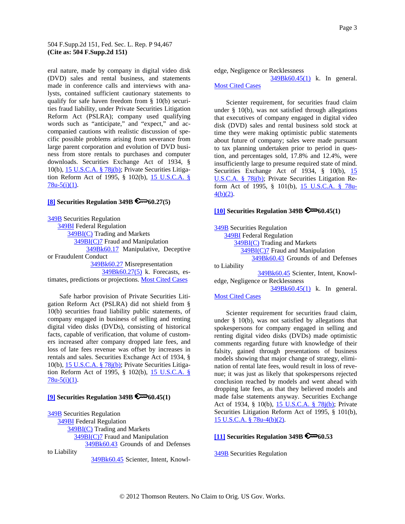<span id="page-2-0"></span>eral nature, made by company in digital video disk (DVD) sales and rental business, and statements made in conference calls and interviews with analysts, contained sufficient cautionary statements to qualify for safe haven freedom from § 10(b) securities fraud liability, under Private Securities Litigation Reform Act (PSLRA); company used qualifying words such as "anticipate," and "expect," and accompanied cautions with realistic discussion of specific possible problems arising from severance from large parent corporation and evolution of DVD business from store rentals to purchases and computer downloads. Securities Exchange Act of 1934, § 10(b), [15 U.S.C.A. § 78j\(b\);](http://www.westlaw.com/Find/Default.wl?rs=dfa1.0&vr=2.0&DB=1000546&DocName=15USCAS78J&FindType=L&ReferencePositionType=T&ReferencePosition=SP_a83b000018c76) Private Securities Litigation Reform Act of 1995, § 102(b), [15 U.S.C.A. §](http://www.westlaw.com/Find/Default.wl?rs=dfa1.0&vr=2.0&DB=1000546&DocName=15USCAS78U-5&FindType=L&ReferencePositionType=T&ReferencePosition=SP_2d8d0000f3311)   $78u-5(i)(1)$ .

### **[\[8\]](#page-11-0) Securities Regulation 349B 60.27(5)**

[349B](http://www.westlaw.com/KeyNumber/Default.wl?rs=dfa1.0&vr=2.0&CMD=KEY&DocName=349B) Securities Regulation **[349BI](http://www.westlaw.com/KeyNumber/Default.wl?rs=dfa1.0&vr=2.0&CMD=KEY&DocName=349BI)** Federal Regulation [349BI\(C\)](http://www.westlaw.com/KeyNumber/Default.wl?rs=dfa1.0&vr=2.0&CMD=KEY&DocName=349BI%28C%29) Trading and Markets [349BI\(C\)7](http://www.westlaw.com/KeyNumber/Default.wl?rs=dfa1.0&vr=2.0&CMD=KEY&DocName=349BI%28C%297) Fraud and Manipulation [349Bk60.17](http://www.westlaw.com/KeyNumber/Default.wl?rs=dfa1.0&vr=2.0&CMD=KEY&DocName=349Bk60.17) Manipulative, Deceptive or Fraudulent Conduct [349Bk60.27](http://www.westlaw.com/KeyNumber/Default.wl?rs=dfa1.0&vr=2.0&CMD=KEY&DocName=349Bk60.27) Misrepresentation [349Bk60.27\(5\)](http://www.westlaw.com/KeyNumber/Default.wl?rs=dfa1.0&vr=2.0&CMD=KEY&DocName=349Bk60.27%285%29) k. Forecasts, es-timates, predictions or projections. [Most Cited Cases](http://www.westlaw.com/Digest/Default.wl?rs=dfa1.0&vr=2.0&CMD=MCC&DocName=349Bk60.27%285%29)

Safe harbor provision of Private Securities Litigation Reform Act (PSLRA) did not shield from § 10(b) securities fraud liability public statements, of company engaged in business of selling and renting digital video disks (DVDs), consisting of historical facts, capable of verification, that volume of customers increased after company dropped late fees, and loss of late fees revenue was offset by increases in rentals and sales. Securities Exchange Act of 1934, § 10(b), [15 U.S.C.A. § 78j\(b\);](http://www.westlaw.com/Find/Default.wl?rs=dfa1.0&vr=2.0&DB=1000546&DocName=15USCAS78J&FindType=L&ReferencePositionType=T&ReferencePosition=SP_a83b000018c76) Private Securities Litigation Reform Act of 1995, § 102(b), [15 U.S.C.A. §](http://www.westlaw.com/Find/Default.wl?rs=dfa1.0&vr=2.0&DB=1000546&DocName=15USCAS78U-5&FindType=L&ReferencePositionType=T&ReferencePosition=SP_2d8d0000f3311)   $78u-5(i)(1)$ .

# **[\[9\]](#page-12-0) Securities Regulation 349B**  $\mathbb{R}$  60.45(1)

[349B](http://www.westlaw.com/KeyNumber/Default.wl?rs=dfa1.0&vr=2.0&CMD=KEY&DocName=349B) Securities Regulation [349BI](http://www.westlaw.com/KeyNumber/Default.wl?rs=dfa1.0&vr=2.0&CMD=KEY&DocName=349BI) Federal Regulation [349BI\(C\)](http://www.westlaw.com/KeyNumber/Default.wl?rs=dfa1.0&vr=2.0&CMD=KEY&DocName=349BI%28C%29) Trading and Markets [349BI\(C\)7](http://www.westlaw.com/KeyNumber/Default.wl?rs=dfa1.0&vr=2.0&CMD=KEY&DocName=349BI%28C%297) Fraud and Manipulation [349Bk60.43](http://www.westlaw.com/KeyNumber/Default.wl?rs=dfa1.0&vr=2.0&CMD=KEY&DocName=349Bk60.43) Grounds of and Defenses to Liability

[349Bk60.45](http://www.westlaw.com/KeyNumber/Default.wl?rs=dfa1.0&vr=2.0&CMD=KEY&DocName=349Bk60.45) Scienter, Intent, Knowl-

edge, Negligence or Recklessness [349Bk60.45\(1\)](http://www.westlaw.com/KeyNumber/Default.wl?rs=dfa1.0&vr=2.0&CMD=KEY&DocName=349Bk60.45%281%29) k. In general. [Most Cited Cases](http://www.westlaw.com/Digest/Default.wl?rs=dfa1.0&vr=2.0&CMD=MCC&DocName=349Bk60.45%281%29)

Scienter requirement, for securities fraud claim under § 10(b), was not satisfied through allegations that executives of company engaged in digital video disk (DVD) sales and rental business sold stock at time they were making optimistic public statements about future of company; sales were made pursuant to tax planning undertaken prior to period in question, and percentages sold, 17.8% and 12.4%, were insufficiently large to presume required state of mind. Securities Exchange Act of 1934, § 10(b), 15 [U.S.C.A. § 78j\(b\);](http://www.westlaw.com/Find/Default.wl?rs=dfa1.0&vr=2.0&DB=1000546&DocName=15USCAS78J&FindType=L&ReferencePositionType=T&ReferencePosition=SP_a83b000018c76) Private Securities Litigation Reform Act of 1995, § 101(b), [15 U.S.C.A. § 78u-](http://www.westlaw.com/Find/Default.wl?rs=dfa1.0&vr=2.0&DB=1000546&DocName=15USCAS78U-4&FindType=L&ReferencePositionType=T&ReferencePosition=SP_c0ae00006c482)[4\(b\)\(2\)](http://www.westlaw.com/Find/Default.wl?rs=dfa1.0&vr=2.0&DB=1000546&DocName=15USCAS78U-4&FindType=L&ReferencePositionType=T&ReferencePosition=SP_c0ae00006c482).

# $[10]$  Securities Regulation 349B  $\mathcal{L}\rightarrow\mathcal{L}(0.45(1))$

**349B** Securities Regulation [349BI](http://www.westlaw.com/KeyNumber/Default.wl?rs=dfa1.0&vr=2.0&CMD=KEY&DocName=349BI) Federal Regulation [349BI\(C\)](http://www.westlaw.com/KeyNumber/Default.wl?rs=dfa1.0&vr=2.0&CMD=KEY&DocName=349BI%28C%29) Trading and Markets [349BI\(C\)7](http://www.westlaw.com/KeyNumber/Default.wl?rs=dfa1.0&vr=2.0&CMD=KEY&DocName=349BI%28C%297) Fraud and Manipulation [349Bk60.43](http://www.westlaw.com/KeyNumber/Default.wl?rs=dfa1.0&vr=2.0&CMD=KEY&DocName=349Bk60.43) Grounds of and Defenses to Liability [349Bk60.45](http://www.westlaw.com/KeyNumber/Default.wl?rs=dfa1.0&vr=2.0&CMD=KEY&DocName=349Bk60.45) Scienter, Intent, Knowledge, Negligence or Recklessness [349Bk60.45\(1\)](http://www.westlaw.com/KeyNumber/Default.wl?rs=dfa1.0&vr=2.0&CMD=KEY&DocName=349Bk60.45%281%29) k. In general. [Most Cited Cases](http://www.westlaw.com/Digest/Default.wl?rs=dfa1.0&vr=2.0&CMD=MCC&DocName=349Bk60.45%281%29)

Scienter requirement for securities fraud claim, under § 10(b), was not satisfied by allegations that spokespersons for company engaged in selling and renting digital video disks (DVDs) made optimistic comments regarding future with knowledge of their falsity, gained through presentations of business models showing that major change of strategy, elimination of rental late fees, would result in loss of revenue; it was just as likely that spokespersons rejected conclusion reached by models and went ahead with dropping late fees, as that they believed models and made false statements anyway. Securities Exchange Act of 1934, § 10(b), [15 U.S.C.A. § 78j\(b\)](http://www.westlaw.com/Find/Default.wl?rs=dfa1.0&vr=2.0&DB=1000546&DocName=15USCAS78J&FindType=L&ReferencePositionType=T&ReferencePosition=SP_a83b000018c76); Private Securities Litigation Reform Act of 1995, § 101(b), [15 U.S.C.A. § 78u-4\(b\)\(2\).](http://www.westlaw.com/Find/Default.wl?rs=dfa1.0&vr=2.0&DB=1000546&DocName=15USCAS78U-4&FindType=L&ReferencePositionType=T&ReferencePosition=SP_c0ae00006c482)

# **[\[11\]](#page-12-0) Securities Regulation 349B 60.53**

**349B** Securities Regulation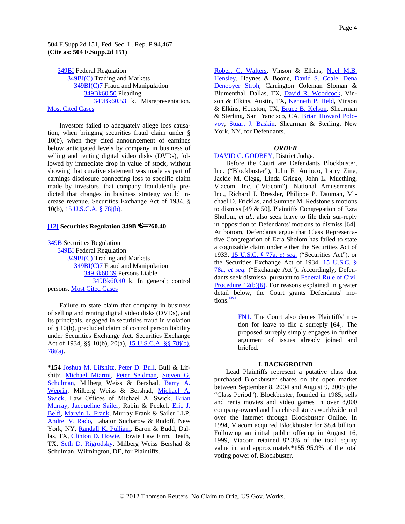<span id="page-3-0"></span> [349BI](http://www.westlaw.com/KeyNumber/Default.wl?rs=dfa1.0&vr=2.0&CMD=KEY&DocName=349BI%28C%29) Federal Regulation [349BI\(C\)](http://www.westlaw.com/KeyNumber/Default.wl?rs=dfa1.0&vr=2.0&CMD=KEY&DocName=349BI%28C%297) Trading and Markets [349BI\(C\)7](http://www.westlaw.com/KeyNumber/Default.wl?rs=dfa1.0&vr=2.0&CMD=KEY&DocName=349Bk60.50) Fraud and Manipulation [349Bk60.50](http://www.westlaw.com/KeyNumber/Default.wl?rs=dfa1.0&vr=2.0&CMD=KEY&DocName=349Bk60.53) Pleading [349](http://www.westlaw.com/Digest/Default.wl?rs=dfa1.0&vr=2.0&CMD=MCC&DocName=349Bk60.53)Bk60.53 k. Misrepresentation. Most Cited Cases

crease revenue. Securities Exchange Act of 1934, § 10(b), 15 U.S.C.A. § 78j(b). Investors failed to adequately allege loss causation, when bringing securities fraud claim under § 10(b), when they cited announcement of earnings below anticipated levels by company in business of selling and renting digital video disks (DVDs), followed by immediate drop in value of stock, without showing that curative statement was made as part of earnings disclosure connecting loss to specific claim made by investors, that company fraudulently predicted that changes in business strategy would in-

### **[12] Securities Regulation 349B 60.40**

[349B](http://www.westlaw.com/KeyNumber/Default.wl?rs=dfa1.0&vr=2.0&CMD=KEY&DocName=349BI) Securities Regulation **[349BI](http://www.westlaw.com/KeyNumber/Default.wl?rs=dfa1.0&vr=2.0&CMD=KEY&DocName=349BI%28C%29)** Federal Regulation [349BI\(C\)](http://www.westlaw.com/KeyNumber/Default.wl?rs=dfa1.0&vr=2.0&CMD=KEY&DocName=349BI%28C%297) Trading and Markets [349BI\(C\)7](http://www.westlaw.com/KeyNumber/Default.wl?rs=dfa1.0&vr=2.0&CMD=KEY&DocName=349Bk60.39) Fraud and Manipulation [349Bk60.39](http://www.westlaw.com/KeyNumber/Default.wl?rs=dfa1.0&vr=2.0&CMD=KEY&DocName=349Bk60.40) Persons Liable [349Bk60.40](http://www.westlaw.com/Digest/Default.wl?rs=dfa1.0&vr=2.0&CMD=MCC&DocName=349Bk60.40) k. In general; control persons. Most Cited Cases

Act of 1934, §§ 10(b), 20(a), 15 U.S.C.A. §§ 78j(b), Failure to state claim that company in business of selling and renting digital video disks (DVDs), and its principals, engaged in securities fraud in violation of § 10(b), precluded claim of control person liability under Securities Exchange Act. Securities Exchange 78t(a).

**\*154** [Joshua M. Lifshitz,](http://www.westlaw.com/Find/Default.wl?rs=dfa1.0&vr=2.0&DB=PROFILER-WLD&DocName=0220346501&FindType=h) [Peter D. Bull,](http://www.westlaw.com/Find/Default.wl?rs=dfa1.0&vr=2.0&DB=PROFILER-WLD&DocName=0218904501&FindType=h) Bull & Lifshitz, [Michael Miarmi,](http://www.westlaw.com/Find/Default.wl?rs=dfa1.0&vr=2.0&DB=PROFILER-WLD&DocName=0370533001&FindType=h) [Peter Seidman](http://www.westlaw.com/Find/Default.wl?rs=dfa1.0&vr=2.0&DocName=0147760801&FindType=h), [Steven G.](http://www.westlaw.com/Find/Default.wl?rs=dfa1.0&vr=2.0&DB=PROFILER-WLD&DocName=0153843801&FindType=h)  [Schulman,](http://www.westlaw.com/Find/Default.wl?rs=dfa1.0&vr=2.0&DB=PROFILER-WLD&DocName=0153843801&FindType=h) Milberg Weiss & Bershad, [Barry A.](http://www.westlaw.com/Find/Default.wl?rs=dfa1.0&vr=2.0&DB=PROFILER-WLD&DocName=0107869901&FindType=h) [Weprin](http://www.westlaw.com/Find/Default.wl?rs=dfa1.0&vr=2.0&DB=PROFILER-WLD&DocName=0107869901&FindType=h), Milberg Weiss & Bershad, [Michael A.](http://www.westlaw.com/Find/Default.wl?rs=dfa1.0&vr=2.0&DB=PROFILER-WLD&DocName=0318848401&FindType=h)  [Swick](http://www.westlaw.com/Find/Default.wl?rs=dfa1.0&vr=2.0&DB=PROFILER-WLD&DocName=0318848401&FindType=h), Law Offices of Michael A. Swick, Brian [Murray](http://www.westlaw.com/Find/Default.wl?rs=dfa1.0&vr=2.0&DB=PROFILER-WLD&DocName=0181625901&FindType=h), [Jacqueline Sailer](http://www.westlaw.com/Find/Default.wl?rs=dfa1.0&vr=2.0&DB=PROFILER-WLD&DocName=0217902001&FindType=h), Rabin & Peckel, [Eric J.](http://www.westlaw.com/Find/Default.wl?rs=dfa1.0&vr=2.0&DB=PROFILER-WLD&DocName=0320287301&FindType=h)  [Belfi,](http://www.westlaw.com/Find/Default.wl?rs=dfa1.0&vr=2.0&DB=PROFILER-WLD&DocName=0320287301&FindType=h) [Marvin L. Frank](http://www.westlaw.com/Find/Default.wl?rs=dfa1.0&vr=2.0&DB=PROFILER-WLD&DocName=0261091401&FindType=h), Murray Frank & Sailer LLP, [Andrei V. Rado,](http://www.westlaw.com/Find/Default.wl?rs=dfa1.0&vr=2.0&DB=PROFILER-WLD&DocName=0318846401&FindType=h) Labaton Sucharow & Rudoff, New York, NY, [Randall K. Pulliam,](http://www.westlaw.com/Find/Default.wl?rs=dfa1.0&vr=2.0&DB=PROFILER-WLD&DocName=0250009001&FindType=h) Baron & Budd, Dallas, TX, [Clinton D. Howie](http://www.westlaw.com/Find/Default.wl?rs=dfa1.0&vr=2.0&DB=PROFILER-WLD&DocName=0328579201&FindType=h), Howie Law Firm, Heath, TX, [Seth D. Rigrodsky](http://www.westlaw.com/Find/Default.wl?rs=dfa1.0&vr=2.0&DB=PROFILER-WLD&DocName=0217927801&FindType=h), Milberg Weiss Bershad & Schulman, Wilmington, DE, for Plaintiffs.

[Robert C. Walters](http://www.westlaw.com/Find/Default.wl?rs=dfa1.0&vr=2.0&DB=PROFILER-WLD&DocName=0161545101&FindType=h), Vinson & Elkins, Noel M.B. [Hensley,](http://www.westlaw.com/Find/Default.wl?rs=dfa1.0&vr=2.0&DB=PROFILER-WLD&DocName=0114599301&FindType=h) Haynes & Boone, [David S. Coale](http://www.westlaw.com/Find/Default.wl?rs=dfa1.0&vr=2.0&DB=PROFILER-WLD&DocName=0242664401&FindType=h), [Dena](http://www.westlaw.com/Find/Default.wl?rs=dfa1.0&vr=2.0&DB=PROFILER-WLD&DocName=0317990101&FindType=h)  [Denooyer Stroh](http://www.westlaw.com/Find/Default.wl?rs=dfa1.0&vr=2.0&DB=PROFILER-WLD&DocName=0317990101&FindType=h), Carrington Coleman Sloman & Blumenthal, Dallas, TX, [David R. Woodcock,](http://www.westlaw.com/Find/Default.wl?rs=dfa1.0&vr=2.0&DB=PROFILER-WLD&DocName=0327146901&FindType=h) Vin-son & Elkins, Austin, TX, [Kenneth P. Held](http://www.westlaw.com/Find/Default.wl?rs=dfa1.0&vr=2.0&DB=PROFILER-WLD&DocName=0327124001&FindType=h), Vinson & Elkins, Houston, TX, [Bruce B. Kelson](http://www.westlaw.com/Find/Default.wl?rs=dfa1.0&vr=2.0&DB=PROFILER-WLD&DocName=0104821701&FindType=h), Shearman & Sterling, San Francisco, CA, [Brian Howard Polo](http://www.westlaw.com/Find/Default.wl?rs=dfa1.0&vr=2.0&DB=PROFILER-WLD&DocName=0242751201&FindType=h)[voy](http://www.westlaw.com/Find/Default.wl?rs=dfa1.0&vr=2.0&DB=PROFILER-WLD&DocName=0242751201&FindType=h), [Stuart J. Baskin](http://www.westlaw.com/Find/Default.wl?rs=dfa1.0&vr=2.0&DB=PROFILER-WLD&DocName=0151515601&FindType=h), Shearman & Sterling, New York, NY, for Defendants.

#### *ORDER*

### DAVID C. GODBE[Y, District Judge.](http://www.westlaw.com/Find/Default.wl?rs=dfa1.0&vr=2.0&DB=1000546&DocName=15USCAS77A&FindType=L)

[Before the Court are Defendants Blockbuster,](http://www.westlaw.com/Find/Default.wl?rs=dfa1.0&vr=2.0&DB=1000546&DocName=15USCAS77A&FindType=L)  [Inc. \("Blockbuster"\), John F. Antioco, Larry Zine,](http://www.westlaw.com/Find/Default.wl?rs=dfa1.0&vr=2.0&DB=1000546&DocName=15USCAS77A&FindType=L)  [Jackie M. Clegg, Linda Griego, John L. Muething,](http://www.westlaw.com/Find/Default.wl?rs=dfa1.0&vr=2.0&DB=1000546&DocName=15USCAS77A&FindType=L)  [Viacom, Inc. \("Viacom"\), National Amusements,](http://www.westlaw.com/Find/Default.wl?rs=dfa1.0&vr=2.0&DB=1000546&DocName=15USCAS77A&FindType=L)  [Inc., Richard J. Bressler, Philippe P. Dauman, Mi](http://www.westlaw.com/Find/Default.wl?rs=dfa1.0&vr=2.0&DB=1000546&DocName=15USCAS77A&FindType=L)[chael D. Fricklas, and Sumner M. Redstone's motions](http://www.westlaw.com/Find/Default.wl?rs=dfa1.0&vr=2.0&DB=1000546&DocName=15USCAS77A&FindType=L)  [to dismiss \[49 & 50\]. Plaintiffs Congregation of Ezra](http://www.westlaw.com/Find/Default.wl?rs=dfa1.0&vr=2.0&DB=1000546&DocName=15USCAS77A&FindType=L)  Sholom, *et al.,* [also seek leave to file their sur-reply](http://www.westlaw.com/Find/Default.wl?rs=dfa1.0&vr=2.0&DB=1000546&DocName=15USCAS77A&FindType=L)  [in opposition to Defendants' motions to dismiss \[64\].](http://www.westlaw.com/Find/Default.wl?rs=dfa1.0&vr=2.0&DB=1000546&DocName=15USCAS77A&FindType=L)  [At bottom, Defendants argue that Class Representa](http://www.westlaw.com/Find/Default.wl?rs=dfa1.0&vr=2.0&DB=1000546&DocName=15USCAS77A&FindType=L)[tive Congregation of Ezra Sholom has failed to state](http://www.westlaw.com/Find/Default.wl?rs=dfa1.0&vr=2.0&DB=1000546&DocName=15USCAS77A&FindType=L)  [a cognizable claim under either the Securities Act of](http://www.westlaw.com/Find/Default.wl?rs=dfa1.0&vr=2.0&DB=1000546&DocName=15USCAS77A&FindType=L)  [1933,](http://www.westlaw.com/Find/Default.wl?rs=dfa1.0&vr=2.0&DB=1000546&DocName=15USCAS77A&FindType=L) 15 U.S.C. § 77a, *et seq.* [\("Securities Act"\), or](http://www.westlaw.com/Find/Default.wl?rs=dfa1.0&vr=2.0&DB=1000546&DocName=15USCAS78A&FindType=L)  [the Securities Exchange Act of 1934, 1](http://www.westlaw.com/Find/Default.wl?rs=dfa1.0&vr=2.0&DB=1000546&DocName=15USCAS78A&FindType=L)5 U.S.C. § 78a, *et seq.* [\("Exchange Act"\). Accordingly, Defen](http://www.westlaw.com/Find/Default.wl?rs=dfa1.0&vr=2.0&DB=1004365&DocName=USFRCPR12&FindType=L)[dants seek dismissal pursuant to](http://www.westlaw.com/Find/Default.wl?rs=dfa1.0&vr=2.0&DB=1004365&DocName=USFRCPR12&FindType=L) Federal Rule of Civil Procedure 12(b)(6). For reasons explained in greater [detail be](#page-3-0)low, the Court grants Defendants' motions. $\frac{FN1}{FN}$ 

> [FN1.](#page-3-0) The Court also denies Plaintiffs' motion for leave to file a surreply [64]. The proposed surreply simply engages in further argument of issues already joined and briefed.

#### **I. BACKGROUND**

value in, and approximately\*155 95.9% of the total voting power of, Blockbuster. Lead Plaintiffs represent a putative class that purchased Blockbuster shares on the open market between September 8, 2004 and August 9, 2005 (the "Class Period"). Blockbuster, founded in 1985, sells and rents movies and video games in over 8,000 company-owned and franchised stores worldwide and over the Internet through Blockbuster Online. In 1994, Viacom acquired Blockbuster for \$8.4 billion. Following an initial public offering in August 16, 1999, Viacom retained 82.3% of the total equity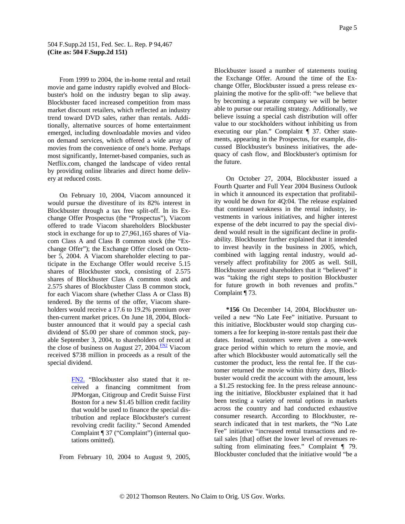<span id="page-4-0"></span>by providing online libraries and direct home delivy at reduced costs. er From 1999 to 2004, the in-home rental and retail movie and game industry rapidly evolved and Blockbuster's hold on the industry began to slip away. Blockbuster faced increased competition from mass market discount retailers, which reflected an industry trend toward DVD sales, rather than rentals. Additionally, alternative sources of home entertainment emerged, including downloadable movies and video on demand services, which offered a wide array of movies from the convenience of one's home. Perhaps most significantly, Internet-based companies, such as Netflix.com, changed the landscape of video rental

On February 10, 2004, Viacom announced it would pursue the divestiture of its 82% interest in Blockbuster through a tax free split-off. In its Exchange Offer Prospectus (the "Prospectus"), Viacom offered to trade Viacom shareholders Blockbuster stock in exchange for up to 27,961,165 shares of Viacom Class A and Class B common stock (the "Exchange Offer"); the Exchange Offer closed on October 5, 2004. A Viacom shareholder electing to participate in the Exchange Offer would receive 5.15 shares of Blockbuster stock, consisting of 2.575 shares of Blockbuster Class A common stock and 2.575 shares of Blockbuster Class B common stock, for each Viacom share (whether Class A or Class B) tendered. By the terms of the offer, Viacom shareholders would receive a 17.6 to 19.2% premium over then-current market prices. On June 18, 2004, Blockbuster announced that it would pay a special cash dividend of \$5.00 per share of common stock, payable September 3, 2004, to shareholders of record at the close of business on August 27, 2004. $\frac{FN2}{FN}$  $\frac{FN2}{FN}$  $\frac{FN2}{FN}$  Viacom received \$738 million in proceeds as a result of the special dividend.

> [FN2.](#page-4-0) "Blockbuster also stated that it received a financing commitment from JPMorgan, Citigroup and Credit Suisse First Boston for a new \$1.45 billion credit facility that would be used to finance the special distribution and replace Blockbuster's current revolving credit facility." Second Amended Complaint ¶ 37 ("Complaint") (internal quotations omitted).

From February 10, 2004 to August 9, 2005,

quacy of cash flow, and Blockbuster's optimism for the future. Blockbuster issued a number of statements touting the Exchange Offer. Around the time of the Exchange Offer, Blockbuster issued a press release explaining the motive for the split-off: "we believe that by becoming a separate company we will be better able to pursue our retailing strategy. Additionally, we believe issuing a special cash distribution will offer value to our stockholders without inhibiting us from executing our plan." Complaint ¶ 37. Other statements, appearing in the Prospectus, for example, discussed Blockbuster's business initiatives, the ade-

for future growth in both revenues and profits." Complaint  $\P$  73. On October 27, 2004, Blockbuster issued a Fourth Quarter and Full Year 2004 Business Outlook in which it announced its expectation that profitability would be down for 4Q:04. The release explained that continued weakness in the rental industry, investments in various initiatives, and higher interest expense of the debt incurred to pay the special dividend would result in the significant decline in profitability. Blockbuster further explained that it intended to invest heavily in the business in 2005, which, combined with lagging rental industry, would adversely affect profitability for 2005 as well. Still, Blockbuster assured shareholders that it "believed" it was "taking the right steps to position Blockbuster

**\*156** On December 14, 2004, Blockbuster unveiled a new "No Late Fee" initiative. Pursuant to this initiative, Blockbuster would stop charging customers a fee for keeping in-store rentals past their due dates. Instead, customers were given a one-week grace period within which to return the movie, and after which Blockbuster would automatically sell the customer the product, less the rental fee. If the customer returned the movie within thirty days, Blockbuster would credit the account with the amount, less a \$1.25 restocking fee. In the press release announcing the initiative, Blockbuster explained that it had been testing a variety of rental options in markets across the country and had conducted exhaustive consumer research. According to Blockbuster, research indicated that in test markets, the "No Late Fee" initiative "increased rental transactions and retail sales [that] offset the lower level of revenues resulting from eliminating fees." Complaint ¶ 79. Blockbuster concluded that the initiative would "be a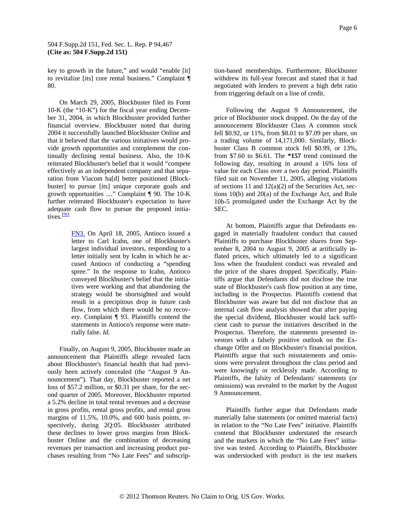<span id="page-5-0"></span>key to growth in the future," and would "enable [it] to revitalize [its] core rental business." Complaint ¶ 0. 8

adequate cash flow to pursue the proposed initiatives.<sup>FN3</sup> On March 29, 2005, Blockbuster filed its Form 10-K (the "10-K") for the fiscal year ending December 31, 2004, in which Blockbuster provided further financial overview. Blockbuster noted that during 2004 it successfully launched Blockbuster Online and that it believed that the various initiatives would provide growth opportunities and complement the continually declining rental business. Also, the 10-K reiterated Blockbuster's belief that it would "compete effectively as an independent company and that separation from Viacom ha[d] better positioned [Blockbuster] to pursue [its] unique corporate goals and growth opportunities ...." Complaint ¶ 90. The 10-K further reiterated Blockbuster's expectation to have

> [FN3.](#page-5-0) On April 18, 2005, Antioco issued a letter to Carl Icahn, one of Blockbuster's largest individual investors, responding to a letter initially sent by Icahn in which he accused Antioco of conducting a "spending spree." In the response to Icahn, Antioco conveyed Blockbuster's belief that the initiatives were working and that abandoning the strategy would be shortsighted and would result in a precipitous drop in future cash flow, from which there would be no recovery. Complaint ¶ 93. Plaintiffs contend the statements in Antioco's response were materially false. *Id.*

Finally, on August 9, 2005, Blockbuster made an announcement that Plaintiffs allege revealed facts about Blockbuster's financial health that had previously been actively concealed (the "August 9 Announcement"). That day, Blockbuster reported a net loss of \$57.2 million, or \$0.31 per share, for the second quarter of 2005. Moreover, Blockbuster reported a 5.2% decline in total rental revenues and a decrease in gross profits, rental gross profits, and rental gross margins of 11.5%, 10.0%, and 600 basis points, respectively, during 2Q:05. Blockbuster attributed these declines to lower gross margins from Blockbuster Online and the combination of decreasing revenues per transaction and increasing product purchases resulting from "No Late Fees" and subscrip-

negotiated with lenders to prevent a high debt ratio from triggering default on a line of credit. tion-based memberships. Furthermore, Blockbuster withdrew its full-year forecast and stated that it had

10b-5 promulgated under the Exchange Act by the SEC. Following the August 9 Announcement, the price of Blockbuster stock dropped. On the day of the announcement Blockbuster Class A common stock fell \$0.92, or 11%, from \$8.01 to \$7.09 per share, on a trading volume of 14,171,000. Similarly, Blockbuster Class B common stock fell \$0.99, or 13%, from \$7.60 to \$6.61. The **\*157** trend continued the following day, resulting in around a 16% loss of value for each Class over a two day period. Plaintiffs filed suit on November 11, 2005, alleging violations of sections 11 and  $12(a)(2)$  of the Securities Act, sections 10(b) and 20(a) of the Exchange Act, and Rule

omissions) was revealed to the market by the August Announcement. 9 At bottom, Plaintiffs argue that Defendants engaged in materially fraudulent conduct that caused Plaintiffs to purchase Blockbuster shares from September 8, 2004 to August 9, 2005 at artificially inflated prices, which ultimately led to a significant loss when the fraudulent conduct was revealed and the price of the shares dropped. Specifically, Plaintiffs argue that Defendants did not disclose the true state of Blockbuster's cash flow position at any time, including in the Prospectus. Plaintiffs contend that Blockbuster was aware but did not disclose that an internal cash flow analysis showed that after paying the special dividend, Blockbuster would lack sufficient cash to pursue the initiatives described in the Prospectus. Therefore, the statements presented investors with a falsely positive outlook on the Exchange Offer and on Blockbuster's financial position. Plaintiffs argue that such misstatements and omissions were prevalent throughout the class period and were knowingly or recklessly made. According to Plaintiffs, the falsity of Defendants' statements (or

Plaintiffs further argue that Defendants made materially false statements (or omitted material facts) in relation to the "No Late Fees" initiative. Plaintiffs contend that Blockbuster understated the research and the markets in which the "No Late Fees" initiative was tested. According to Plaintiffs, Blockbuster was understocked with product in the test markets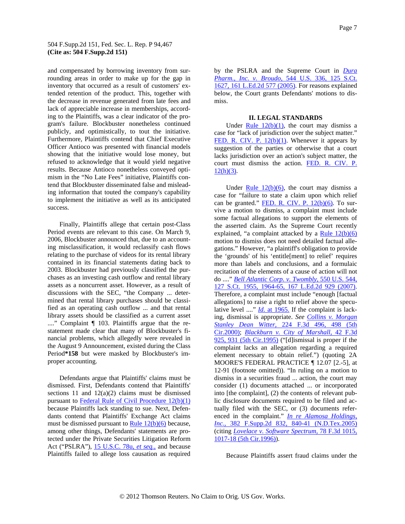and compensated by borrowing inventory from surrounding areas in order to make up for the gap in inventory that occurred as a result of customers' extended retention of the product. This, together with the decrease in revenue generated from late fees and lack of appreciable increase in memberships, according to the Plaintiffs, was a clear indicator of the program's failure. Blockbuster nonetheless continued publicly, and optimistically, to tout the initiative. Furthermore, Plaintiffs contend that Chief Executive Officer Antioco was presented with financial models showing that the initiative would lose money, but refused to acknowledge that it would yield negative results. Because Antioco nonetheless conveyed optimism in the "No Late Fees" initiative, Plaintiffs contend that Blockbuster disseminated false and misleading information that touted the company's capability to implement the initiative as well as its anticipated success.

Period\*158 but were masked by Blockbuster's improper accounting. Finally, Plaintiffs allege that certain post-Class Period events are relevant to this case. On March 9, 2006, Blockbuster announced that, due to an accounting misclassification, it would reclassify cash flows relating to the purchase of videos for its rental library contained in its financial statements dating back to 2003. Blockbuster had previously classified the purchases as an investing cash outflow and rental library assets as a noncurrent asset. However, as a result of discussions with the SEC, "the Company ... determined that rental library purchases should be classified as an operating cash outflow ... and that rental library assets should be classified as a current asset ...." Complaint ¶ 103. Plaintiffs argue that the restatement made clear that many of Blockbuster's financial problems, which allegedly were revealed in the August 9 Announcement, existed during the Class

Defendants argue that Plaintiffs' claims must be dismissed. First, Defendants contend that Plaintiffs' sections 11 and  $12(a)(2)$  claims must be dismissed pursuant to [Federal Rule of Civil Procedure 12\(b\)\(1\)](http://www.westlaw.com/Find/Default.wl?rs=dfa1.0&vr=2.0&DB=1004365&DocName=USFRCPR12&FindType=L) because Plaintiffs lack standing to sue. Next, Defendants contend that Plaintiffs' Exchange Act claims must be dismissed pursuant to  $Rule 12(b)(6)$  because, among other things, Defendants' statements are protected under the Private Securities Litigation Reform Act ("PSLRA"), [15 U.S.C. 78u,](http://www.westlaw.com/Find/Default.wl?rs=dfa1.0&vr=2.0&DB=1000546&DocName=15USCAS78U&FindType=L) *[et seq.,](http://www.westlaw.com/Find/Default.wl?rs=dfa1.0&vr=2.0&DB=1000546&DocName=15USCAS78U&FindType=L)* and because Plaintiffs failed to allege loss causation as required

by the PSLRA and the Supreme Court in *[Dura](http://www.westlaw.com/Find/Default.wl?rs=dfa1.0&vr=2.0&DB=708&FindType=Y&SerialNum=2006478482)  [Pharm., Inc. v. Broudo,](http://www.westlaw.com/Find/Default.wl?rs=dfa1.0&vr=2.0&DB=708&FindType=Y&SerialNum=2006478482)* [544 U.S. 336, 125 S.Ct.](http://www.westlaw.com/Find/Default.wl?rs=dfa1.0&vr=2.0&DB=708&FindType=Y&SerialNum=2006478482)  [1627, 161 L.Ed.2d 577 \(2005\)](http://www.westlaw.com/Find/Default.wl?rs=dfa1.0&vr=2.0&DB=708&FindType=Y&SerialNum=2006478482). For reasons explained below, the Court grants Defendants' motions to dismiss.

# **II. LEGAL STANDARDS**

Under Rule  $12(b)(1)$ , the court may dismiss a case for "lack of jurisdiction over the subject matter." [FED. R. CIV. P. 12\(b\)\(1\).](http://www.westlaw.com/Find/Default.wl?rs=dfa1.0&vr=2.0&DB=1004365&DocName=USFRCPR12&FindType=L) Whenever it appears by suggestion of the parties or otherwise that a court lacks jurisdiction over an action's subject matter, the court must dismiss the action. FED. R. CIV. P.  $12(h)(3)$ .

Under  $\frac{\text{Rule } 12(b)(6)}{\text{The count}}$ , the court may dismiss a case for "failure to state a claim upon which relief can be granted." FED. R. CIV. P.  $12(b)(6)$ . To survive a motion to dismiss, a complaint must include some factual allegations to support the elements of the asserted claim. As the Supreme Court recently explained, "a complaint attacked by a Rule  $12(b)(6)$ motion to dismiss does not need detailed factual allegations." However, "a plaintiff's obligation to provide the 'grounds' of his 'entitle[ment] to relief' requires more than labels and conclusions, and a formulaic recitation of the elements of a cause of action will not do ...." *[Bell Atlantic Corp. v. Twombly,](http://www.westlaw.com/Find/Default.wl?rs=dfa1.0&vr=2.0&DB=708&FindType=Y&ReferencePositionType=S&SerialNum=2012293296&ReferencePosition=1964)* [550 U.S. 544,](http://www.westlaw.com/Find/Default.wl?rs=dfa1.0&vr=2.0&DB=708&FindType=Y&ReferencePositionType=S&SerialNum=2012293296&ReferencePosition=1964)  [127 S.Ct. 1955, 1964-65, 167 L.Ed.2d 929 \(2007\)](http://www.westlaw.com/Find/Default.wl?rs=dfa1.0&vr=2.0&DB=708&FindType=Y&ReferencePositionType=S&SerialNum=2012293296&ReferencePosition=1964). Therefore, a complaint must include "enough [factual allegations] to raise a right to relief above the speculative level ...." *[Id.](http://www.westlaw.com/Find/Default.wl?rs=dfa1.0&vr=2.0&FindType=Y&SerialNum=2012293296)* [at 1965.](http://www.westlaw.com/Find/Default.wl?rs=dfa1.0&vr=2.0&FindType=Y&SerialNum=2012293296) If the complaint is lacking, dismissal is appropriate. *See [Collins v. Morgan](http://www.westlaw.com/Find/Default.wl?rs=dfa1.0&vr=2.0&DB=506&FindType=Y&ReferencePositionType=S&SerialNum=2000479258&ReferencePosition=498)  [Stanley Dean Witter,](http://www.westlaw.com/Find/Default.wl?rs=dfa1.0&vr=2.0&DB=506&FindType=Y&ReferencePositionType=S&SerialNum=2000479258&ReferencePosition=498)* [224 F.3d 496, 498 \(5th](http://www.westlaw.com/Find/Default.wl?rs=dfa1.0&vr=2.0&DB=506&FindType=Y&ReferencePositionType=S&SerialNum=2000479258&ReferencePosition=498)  [Cir.2000\);](http://www.westlaw.com/Find/Default.wl?rs=dfa1.0&vr=2.0&DB=506&FindType=Y&ReferencePositionType=S&SerialNum=2000479258&ReferencePosition=498) *[Blackburn v. City of Marshall,](http://www.westlaw.com/Find/Default.wl?rs=dfa1.0&vr=2.0&DB=506&FindType=Y&ReferencePositionType=S&SerialNum=1995028148&ReferencePosition=931)* [42 F.3d](http://www.westlaw.com/Find/Default.wl?rs=dfa1.0&vr=2.0&DB=506&FindType=Y&ReferencePositionType=S&SerialNum=1995028148&ReferencePosition=931)  [925, 931 \(5th Cir.1995\)](http://www.westlaw.com/Find/Default.wl?rs=dfa1.0&vr=2.0&DB=506&FindType=Y&ReferencePositionType=S&SerialNum=1995028148&ReferencePosition=931) ("[d]ismissal is proper if the complaint lacks an allegation regarding a required element necessary to obtain relief.") (quoting 2A MOORE'S FEDERAL PRACTICE ¶ 12.07 [2.-5], at 12-91 (footnote omitted)). "In ruling on a motion to dismiss in a securities fraud ... action, the court may consider (1) documents attached ... or incorporated into [the complaint], (2) the contents of relevant public disclosure documents required to be filed and actually filed with the SEC, or (3) documents referenced in the complaint." *[In re Alamosa Holdings,](http://www.westlaw.com/Find/Default.wl?rs=dfa1.0&vr=2.0&DB=4637&FindType=Y&ReferencePositionType=S&SerialNum=2006397862&ReferencePosition=840)  [Inc.,](http://www.westlaw.com/Find/Default.wl?rs=dfa1.0&vr=2.0&DB=4637&FindType=Y&ReferencePositionType=S&SerialNum=2006397862&ReferencePosition=840)* [382 F.Supp.2d 832, 840-41 \(N.D.Tex.2005\)](http://www.westlaw.com/Find/Default.wl?rs=dfa1.0&vr=2.0&DB=4637&FindType=Y&ReferencePositionType=S&SerialNum=2006397862&ReferencePosition=840) (citing *[Lovelace v. Softwa](http://www.westlaw.com/Find/Default.wl?rs=dfa1.0&vr=2.0&DB=506&FindType=Y&ReferencePositionType=S&SerialNum=1996072902&ReferencePosition=1017)re Spectrum,* 78 F.3d 1015, 1017-18 (5th Cir.1996)).

Because Plaintiffs assert fraud claims under the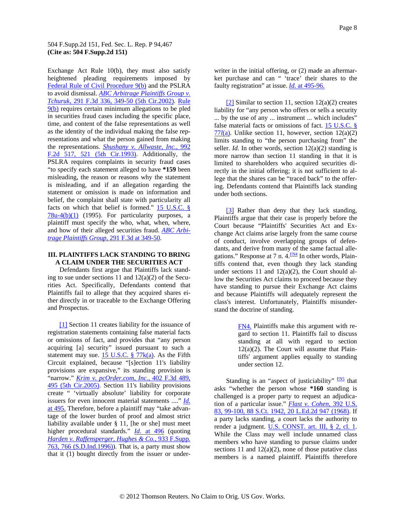<span id="page-7-0"></span>Exchange Act Rule 10(b), they must also satisfy heightened pleading requirements imposed by [Federal Rule of Civil Procedure 9\(b\)](http://www.westlaw.com/Find/Default.wl?rs=dfa1.0&vr=2.0&DB=1004365&DocName=USFRCPR9&FindType=L) and the PSLRA to avoid dismissal. *[ABC Arbitrage Plaintiffs Group v.](http://www.westlaw.com/Find/Default.wl?rs=dfa1.0&vr=2.0&DB=506&FindType=Y&ReferencePositionType=S&SerialNum=2002299999&ReferencePosition=349)  [Tchuruk,](http://www.westlaw.com/Find/Default.wl?rs=dfa1.0&vr=2.0&DB=506&FindType=Y&ReferencePositionType=S&SerialNum=2002299999&ReferencePosition=349)* [291 F.3d 336, 349-50 \(5th Cir.2002\).](http://www.westlaw.com/Find/Default.wl?rs=dfa1.0&vr=2.0&DB=506&FindType=Y&ReferencePositionType=S&SerialNum=2002299999&ReferencePosition=349) [Rule](http://www.westlaw.com/Find/Default.wl?rs=dfa1.0&vr=2.0&DB=1004365&DocName=USFRCPR9&FindType=L)  [9\(b\)](http://www.westlaw.com/Find/Default.wl?rs=dfa1.0&vr=2.0&DB=1004365&DocName=USFRCPR9&FindType=L) requires certain minimum allegations to be pled in securities fraud cases including the specific place, time, and content of the false representations as well as the identity of the individual making the false representations and what the person gained from making the representations. *[Shushany v. Allwaste, Inc.,](http://www.westlaw.com/Find/Default.wl?rs=dfa1.0&vr=2.0&DB=350&FindType=Y&ReferencePositionType=S&SerialNum=1993110395&ReferencePosition=521)* [992](http://www.westlaw.com/Find/Default.wl?rs=dfa1.0&vr=2.0&DB=350&FindType=Y&ReferencePositionType=S&SerialNum=1993110395&ReferencePosition=521)  [F.2d 517, 521 \(5th Cir.1993\).](http://www.westlaw.com/Find/Default.wl?rs=dfa1.0&vr=2.0&DB=350&FindType=Y&ReferencePositionType=S&SerialNum=1993110395&ReferencePosition=521) Additionally, the PSLRA requires complaints in security fraud cases "to specify each statement alleged to have **\*159** been misleading, the reason or reasons why the statement is misleading, and if an allegation regarding the statement or omission is made on information and belief, the complaint shall state with particularity all facts on which that belief is formed." [15 U.S.C. §](http://www.westlaw.com/Find/Default.wl?rs=dfa1.0&vr=2.0&DB=1000546&DocName=15USCAS78U-4&FindType=L&ReferencePositionType=T&ReferencePosition=SP_3fed000053a85)   $78u-4(b)(1)$  (1995). For particularity purposes, a plaintiff must specify the who, what, when, where, and how of their alleged securities fraud. *[AB](http://www.westlaw.com/Find/Default.wl?rs=dfa1.0&vr=2.0&DB=506&FindType=Y&ReferencePositionType=S&SerialNum=2002299999&ReferencePosition=349)C Arbitrage Plaintiffs Group,* 291 F.3d at 349-50.

### **II I. PLAINTIFFS LACK STANDING TO BRING A CLAIM UNDER THE SECURITIES ACT**

ther directly in or traceable to the Exchange Offering and Prospectus. Defendants first argue that Plaintiffs lack standing to sue under sections 11 and  $12(a)(2)$  of the Securities Act. Specifically, Defendants contend that Plaintiffs fail to allege that they acquired shares ei-

[\[1\]](#page-0-0) Section 11 creates liability for the issuance of registration statements containing false material facts or omissions of fact, and provides that "any person acquiring [a] security" issued pursuant to such a statement may sue. 15 U.S.C.  $\S$  77 $k(a)$ . As the Fifth Circuit explained, because "[s]ection 11's liability provisions are expansive," its standing provision is "narrow." *[Krim v. pcOrder.com, Inc.,](http://www.westlaw.com/Find/Default.wl?rs=dfa1.0&vr=2.0&DB=506&FindType=Y&ReferencePositionType=S&SerialNum=2006294118&ReferencePosition=495)* [402 F.3d 489,](http://www.westlaw.com/Find/Default.wl?rs=dfa1.0&vr=2.0&DB=506&FindType=Y&ReferencePositionType=S&SerialNum=2006294118&ReferencePosition=495)  [495 \(5th Cir.2005\)](http://www.westlaw.com/Find/Default.wl?rs=dfa1.0&vr=2.0&DB=506&FindType=Y&ReferencePositionType=S&SerialNum=2006294118&ReferencePosition=495). Section 11's liability provisions create " 'virtually absolute' liability for corporat[e](http://www.westlaw.com/Find/Default.wl?rs=dfa1.0&vr=2.0&FindType=Y&SerialNum=2006294118)  issuers for even innocent material statements ...." *[Id.](http://www.westlaw.com/Find/Default.wl?rs=dfa1.0&vr=2.0&FindType=Y&SerialNum=2006294118)* [at 495.](http://www.westlaw.com/Find/Default.wl?rs=dfa1.0&vr=2.0&FindType=Y&SerialNum=2006294118) Therefore, before a plaintiff may "take advantage of the lower burden of proof and almost strict liability available under § 11, [he or she] must meet higher procedural standards." *[Id.](http://www.westlaw.com/Find/Default.wl?rs=dfa1.0&vr=2.0&FindType=Y&SerialNum=2006294118)* [at 496](http://www.westlaw.com/Find/Default.wl?rs=dfa1.0&vr=2.0&FindType=Y&SerialNum=2006294118) (quoting *[Harden v. Raffensperger, Hughes & Co.,](http://www.westlaw.com/Find/Default.wl?rs=dfa1.0&vr=2.0&DB=345&FindType=Y&ReferencePositionType=S&SerialNum=1996163992&ReferencePosition=766)* [933 F.Supp.](http://www.westlaw.com/Find/Default.wl?rs=dfa1.0&vr=2.0&DB=345&FindType=Y&ReferencePositionType=S&SerialNum=1996163992&ReferencePosition=766)  [763, 766 \(S.D.Ind.1996\)\)](http://www.westlaw.com/Find/Default.wl?rs=dfa1.0&vr=2.0&DB=345&FindType=Y&ReferencePositionType=S&SerialNum=1996163992&ReferencePosition=766). That is, a party must show that it (1) bought directly from the issuer or underwriter in the initial offering, or (2) made an aftermarket purchase and can " 'trace' their shares to the faulty registration" at issue. *Id.* at 495-96.

[\[2\]](#page-0-0) Similar to section 11, section  $12(a)(2)$  creates liability for "any person who offers or sells a security ... by the use of any ... instrument ... which includes" false material facts or omissions of fact. 15 U.S.C. § [77](http://www.westlaw.com/Find/Default.wl?rs=dfa1.0&vr=2.0&DB=1000546&DocName=15USCAS77L&FindType=L&ReferencePositionType=T&ReferencePosition=SP_8b3b0000958a4)*[l](http://www.westlaw.com/Find/Default.wl?rs=dfa1.0&vr=2.0&DB=1000546&DocName=15USCAS77L&FindType=L&ReferencePositionType=T&ReferencePosition=SP_8b3b0000958a4)*[\(a\).](http://www.westlaw.com/Find/Default.wl?rs=dfa1.0&vr=2.0&DB=1000546&DocName=15USCAS77L&FindType=L&ReferencePositionType=T&ReferencePosition=SP_8b3b0000958a4) Unlike section 11, however, section 12(a)(2) limits standing to "the person purchasing from" the seller. *Id.* In other words, section 12(a)(2) standing is more narrow than section 11 standing in that it is limited to shareholders who acquired securities directly in the initial offering; it is not sufficient to allege that the shares can be "traced back" to the offering. Defendants contend that Plaintiffs lack standing under both sections.

[\[3\]](#page-0-0) Rather than deny that they lack standing, Plaintiffs argue that their case is properly before the Court because "Plaintiffs' Securities Act and Exchange Act claims arise largely from the same course of conduct, involve overlapping groups of defendants, and derive from many of the same factual allegations." Response at 7 n.  $4.\overline{FM4}$  In other words, Plaintiffs contend that, even though they lack standing under sections 11 and  $12(a)(2)$ , the Court should allow the Securities Act claims to proceed because they have standing to pursue their Exchange Act claims and because Plaintiffs will adequately represent the class's interest. Unfortunately, Plaintiffs misunderstand the doctrine of standing.

> [FN4.](#page-7-0) Plaintiffs make this argument with regard to section 11. Plaintiffs fail to discuss standing at all with regard to section  $12(a)(2)$ . The Court will assume that Plaintiffs' argument applies equally to standing under section 12.

Standing is an "aspect of justiciability"  $\frac{FN5}{FN5}$  $\frac{FN5}{FN5}$  $\frac{FN5}{FN5}$  that asks "whether the person whose **\*160** standing is challenged is a proper party to request an adjudication of a particular issue." *[Flast v. Cohen,](http://www.westlaw.com/Find/Default.wl?rs=dfa1.0&vr=2.0&DB=708&FindType=Y&SerialNum=1968131219)* [392 U.S.](http://www.westlaw.com/Find/Default.wl?rs=dfa1.0&vr=2.0&DB=708&FindType=Y&SerialNum=1968131219)  [83, 99-100, 88 S.Ct. 1942, 20 L.Ed.2d 947 \(1968\).](http://www.westlaw.com/Find/Default.wl?rs=dfa1.0&vr=2.0&DB=708&FindType=Y&SerialNum=1968131219) If a party lacks standing, a court lacks the authority to render a judgment. [U.S. CONST. art. III, § 2, cl. 1.](http://www.westlaw.com/Find/Default.wl?rs=dfa1.0&vr=2.0&DB=1000546&DocName=USCOARTIIIS2CL1&FindType=L) While the Class may well include unnamed class members who have standing to pursue claims under sections 11 and  $12(a)(2)$ , none of those putative class members is a named plaintiff. Plaintiffs therefore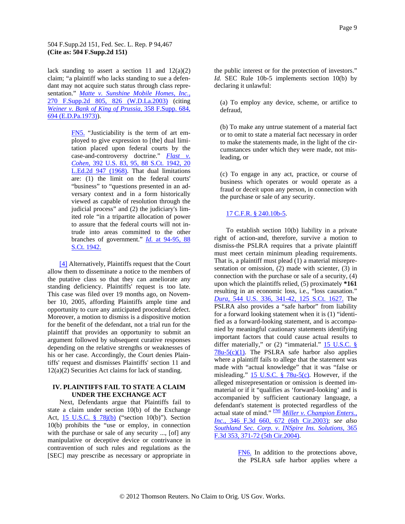<span id="page-8-0"></span>lack standing to assert a section 11 and  $12(a)(2)$ claim; "a plaintiff who lacks standing to sue a defendant may not acquire such status through class representation." *[Matte v. Sunshine Mobile Homes, Inc.,](http://www.westlaw.com/Find/Default.wl?rs=dfa1.0&vr=2.0&DB=4637&FindType=Y&ReferencePositionType=S&SerialNum=2003491572&ReferencePosition=826)* [270 F.Supp.2d 805, 826 \(W.D.La.2003\)](http://www.westlaw.com/Find/Default.wl?rs=dfa1.0&vr=2.0&DB=4637&FindType=Y&ReferencePositionType=S&SerialNum=2003491572&ReferencePosition=826) (citing *[Weiner v. Bank of Ki](http://www.westlaw.com/Find/Default.wl?rs=dfa1.0&vr=2.0&DB=345&FindType=Y&ReferencePositionType=S&SerialNum=1973105359&ReferencePosition=694)ng of Prussia,* 358 F.Supp. 684, 694 (E.D.Pa.1973)).

> [FN5.](#page-7-0) "Justiciability is the term of art employed to give expression to [the] dual limitation placed upon federal courts by the case-and-controversy doctrine." *[Flast v.](http://www.westlaw.com/Find/Default.wl?rs=dfa1.0&vr=2.0&DB=708&FindType=Y&SerialNum=1968131219)  [Cohen,](http://www.westlaw.com/Find/Default.wl?rs=dfa1.0&vr=2.0&DB=708&FindType=Y&SerialNum=1968131219)* [392 U.S. 83, 95, 88 S.Ct. 1942, 20](http://www.westlaw.com/Find/Default.wl?rs=dfa1.0&vr=2.0&DB=708&FindType=Y&SerialNum=1968131219)  [L.Ed.2d 947 \(1968\)](http://www.westlaw.com/Find/Default.wl?rs=dfa1.0&vr=2.0&DB=708&FindType=Y&SerialNum=1968131219). That dual limitations are: (1) the limit on the federal courts' "business" to "questions presented in an adversary context and in a form historically viewed as capable of resolution through the judicial process" and (2) the judiciary's limited role "in a tripartite allocation of power to assure that the federal courts will not intrude into areas committed to the other branches of government." *Id.* at 94-95, 88 S.Ct. 1942.

[\[4\]](#page-1-0) Alternatively, Plaintiffs request that the Court allow them to disseminate a notice to the members of the putative class so that they can ameliorate any standing deficiency. Plaintiffs' request is too late. This case was filed over 19 months ago, on November 10, 2005, affording Plaintiffs ample time and opportunity to cure any anticipated procedural defect. Moreover, a motion to dismiss is a dispositive motion for the benefit of the defendant, not a trial run for the plaintiff that provides an opportunity to submit an argument followed by subsequent curative responses depending on the relative strengths or weaknesses of his or her case. Accordingly, the Court denies Plaintiffs' request and dismisses Plaintiffs' section 11 and  $12(a)(2)$  Securities Act claims for lack of standing.

# **IV. PLAINTIFFS FAIL TO STATE A CLAIM UNDER THE EXCHANGE ACT**

Next, Defendants argue that Plaintiffs fail to state a claim under section 10(b) of the Exchange Act, [15 U.S.C. § 78j\(b\)](http://www.westlaw.com/Find/Default.wl?rs=dfa1.0&vr=2.0&DB=1000546&DocName=15USCAS78J&FindType=L&ReferencePositionType=T&ReferencePosition=SP_a83b000018c76) ("section 10(b)"). Section 10(b) prohibits the "use or employ, in connection with the purchase or sale of any security ..., [of] any manipulative or deceptive device or contrivance in contravention of such rules and regulations as the [SEC] may prescribe as necessary or appropriate in

(a) To employ any device, scheme, or artifice to defraud,

cumstances under which they were made, not misleading, or (b) To make any untrue statement of a material fact or to omit to state a material fact necessary in order to make the statements made, in the light of the cir-

fraud or deceit upon any person, in connection with the purchase or sale of any security. (c) To engage in any act, practice, or course of business which operates or would operate as a

# 17 C.F.R. § 240.10b-5 .

To establish section 10(b) liability in a private right of action-and, therefore, survive a motion to dismiss-the PSLRA requires that a private plaintiff must meet certain minimum pleading requirements. That is, a plaintiff must plead (1) a material misrepresentation or omission, (2) made with scienter, (3) in connection with the purchase or sale of a security, (4) upon which the plaintiffs relied, (5) proximately **\*161** resulting in an economic loss, i.e., "loss causation." *[Dura,](http://www.westlaw.com/Find/Default.wl?rs=dfa1.0&vr=2.0&DB=708&FindType=Y&SerialNum=2006478482)* [544 U.S. 336, 341-42, 125 S.Ct. 1627.](http://www.westlaw.com/Find/Default.wl?rs=dfa1.0&vr=2.0&DB=708&FindType=Y&SerialNum=2006478482) The PSLRA also provides a "safe harbor" from liability for a forward looking statement when it is (1) "identified as a forward-looking statement, and is accompanied by meaningful cautionary statements identifying important factors that could cause actual results to differ materially," or  $(2)$  "immaterial." 15 U.S.C. §  $78u-5(c)(1)$ . The PSLRA safe harbor also applies where a plaintiff fails to allege that the statement was made with "actual knowledge" that it was "false or misleading."  $\underline{15 \text{ U.S.C. } }$   $\overline{8 \text{ 78u-5(c)}}$ . However, if the alleged misrepresentation or omission is deemed immaterial or if it "qualifies as 'forward-looking' and is accompanied by sufficient cautionary language, a defendant's statement is protected regardless of the actual state of mind." [FN6](#page-8-0) *[Miller v. Champion Enters.,](http://www.westlaw.com/Find/Default.wl?rs=dfa1.0&vr=2.0&DB=506&FindType=Y&ReferencePositionType=S&SerialNum=2003684552&ReferencePosition=672)  [Inc.,](http://www.westlaw.com/Find/Default.wl?rs=dfa1.0&vr=2.0&DB=506&FindType=Y&ReferencePositionType=S&SerialNum=2003684552&ReferencePosition=672)* [346 F.3d 660, 672 \(6th Cir.2003\)](http://www.westlaw.com/Find/Default.wl?rs=dfa1.0&vr=2.0&DB=506&FindType=Y&ReferencePositionType=S&SerialNum=2003684552&ReferencePosition=672); *see also [Southland Sec. Corp. v. INSpire I](http://www.westlaw.com/Find/Default.wl?rs=dfa1.0&vr=2.0&DB=506&FindType=Y&ReferencePositionType=S&SerialNum=2004278488&ReferencePosition=371)ns. Solutions,* 365 F.3d 353, 371-72 (5th Cir.2004).

> [FN6.](#page-8-0) In addition to the protections above, the PSLRA safe harbor applies where a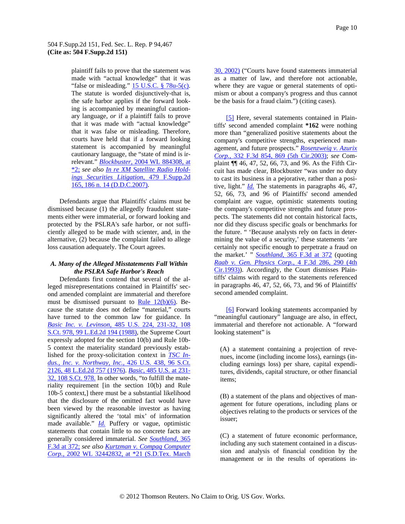<span id="page-9-0"></span>plaintiff fails to prove that the statement was made with "actual knowledge" that it was "false or misleading."  $15$  U.S.C. § 78u-5(c). The statute is worded disjunctively-that is, the safe harbor applies if the forward looking is accompanied by meaningful cautionary language, *or* if a plaintiff fails to prove that it was made with "actual knowledge" that it was false or misleading. Therefore, courts have held that if a forward looking statement is accompanied by meaningful cautionary language, the "state of mind is irrelevant." *[Blockbuster,](http://www.westlaw.com/Find/Default.wl?rs=dfa1.0&vr=2.0&DB=999&FindType=Y&SerialNum=2004367758)* [2004 WL 884308, at](http://www.westlaw.com/Find/Default.wl?rs=dfa1.0&vr=2.0&DB=999&FindType=Y&SerialNum=2004367758)  [\\*2;](http://www.westlaw.com/Find/Default.wl?rs=dfa1.0&vr=2.0&DB=999&FindType=Y&SerialNum=2004367758) *see also [In re XM Satellite Radio Hold](http://www.westlaw.com/Find/Default.wl?rs=dfa1.0&vr=2.0&DB=4637&FindType=Y&ReferencePositionType=S&SerialNum=2011810958&ReferencePosition=186)[ings Securities Litigation,](http://www.westlaw.com/Find/Default.wl?rs=dfa1.0&vr=2.0&DB=4637&FindType=Y&ReferencePositionType=S&SerialNum=2011810958&ReferencePosition=186)* [4](http://www.westlaw.com/Find/Default.wl?rs=dfa1.0&vr=2.0&DB=4637&FindType=Y&ReferencePositionType=S&SerialNum=2011810958&ReferencePosition=186)79 F.Supp.2d 165, 186 n. 14 (D.D.C.2007).

alternative, (2) because the complaint failed to allege loss causation adequately. The Court agrees. Defendants argue that Plaintiffs' claims must be dismissed because (1) the allegedly fraudulent statements either were immaterial, or forward looking and protected by the PSLRA's safe harbor, or not sufficiently alleged to be made with scienter, and, in the

# A. Many of the Alleged Misstatements Fall Within *the PSLRA Safe Harbor's Reach*

Defendants first contend that several of the alleged misrepresentations contained in Plaintiffs' second amended complaint are immaterial and therefore must be dismissed pursuant to Rule  $12(b)(6)$ . Because the statute does not define "material," courts have turned to the common law for guidance. In *[Basic Inc. v. Levinson,](http://www.westlaw.com/Find/Default.wl?rs=dfa1.0&vr=2.0&DB=708&FindType=Y&SerialNum=1988031229)* [485 U.S. 224, 231-32, 108](http://www.westlaw.com/Find/Default.wl?rs=dfa1.0&vr=2.0&DB=708&FindType=Y&SerialNum=1988031229)  [S.Ct. 978, 99 L.Ed.2d 194 \(1988\),](http://www.westlaw.com/Find/Default.wl?rs=dfa1.0&vr=2.0&DB=708&FindType=Y&SerialNum=1988031229) the Supreme Court expressly adopted for the section 10(b) and Rule 10b-5 context the materiality standard previously established for the proxy-solicitation context in *[TSC In](http://www.westlaw.com/Find/Default.wl?rs=dfa1.0&vr=2.0&DB=708&FindType=Y&SerialNum=1976142400)[dus., Inc. v. Northway, Inc.,](http://www.westlaw.com/Find/Default.wl?rs=dfa1.0&vr=2.0&DB=708&FindType=Y&SerialNum=1976142400)* [426 U.S. 438, 96 S.Ct.](http://www.westlaw.com/Find/Default.wl?rs=dfa1.0&vr=2.0&DB=708&FindType=Y&SerialNum=1976142400)  [2126, 48 L.Ed.2d 757 \(1976\)](http://www.westlaw.com/Find/Default.wl?rs=dfa1.0&vr=2.0&DB=708&FindType=Y&SerialNum=1976142400). *[Basic,](http://www.westlaw.com/Find/Default.wl?rs=dfa1.0&vr=2.0&DB=708&FindType=Y&SerialNum=1988031229)* [485 U.S. at 231-](http://www.westlaw.com/Find/Default.wl?rs=dfa1.0&vr=2.0&DB=708&FindType=Y&SerialNum=1988031229) [32, 108 S.Ct. 978.](http://www.westlaw.com/Find/Default.wl?rs=dfa1.0&vr=2.0&DB=708&FindType=Y&SerialNum=1988031229) In other words, "to fulfill the materiality requirement [in the section 10(b) and Rule 10b-5 context,] there must be a substantial likelihood that the disclosure of the omitted fact would have been viewed by the reasonable investor as having significantly altered the 'total mix' of information made available." *[Id.](http://www.westlaw.com/Find/Default.wl?rs=dfa1.0&vr=2.0&FindType=Y&SerialNum=1988031229)* Puffery or vague, optimistic statements that contain little to no concrete facts are generally considered immaterial. *See [Southland,](http://www.westlaw.com/Find/Default.wl?rs=dfa1.0&vr=2.0&DB=506&FindType=Y&ReferencePositionType=S&SerialNum=2004278488&ReferencePosition=372)* [365](http://www.westlaw.com/Find/Default.wl?rs=dfa1.0&vr=2.0&DB=506&FindType=Y&ReferencePositionType=S&SerialNum=2004278488&ReferencePosition=372)  [F.3d at 372;](http://www.westlaw.com/Find/Default.wl?rs=dfa1.0&vr=2.0&DB=506&FindType=Y&ReferencePositionType=S&SerialNum=2004278488&ReferencePosition=372) *see also [Kurtzman v. Compaq Computer](http://www.westlaw.com/Find/Default.wl?rs=dfa1.0&vr=2.0&DB=0000999&FindType=Y&SerialNum=2004331679)  [Corp.,](http://www.westlaw.com/Find/Default.wl?rs=dfa1.0&vr=2.0&DB=0000999&FindType=Y&SerialNum=2004331679)* [2002 WL 32442832, at \\*21 \(S.D.Tex. March](http://www.westlaw.com/Find/Default.wl?rs=dfa1.0&vr=2.0&DB=0000999&FindType=Y&SerialNum=2004331679) 

[30, 2002\)](http://www.westlaw.com/Find/Default.wl?rs=dfa1.0&vr=2.0&DB=0000999&FindType=Y&SerialNum=2004331679) ("Courts have found statements immaterial as a matter of law, and therefore not actionable, where they are vague or general statements of optimism or about a company's progress and thus cannot be the basis for a fraud claim.") (citing cases).

[\[5\]](#page-1-0) Here, several statements contained in Plaintiffs' second amended complaint **\*162** were nothing more than "generalized positive statements about the company's competitive strengths, experienced management, and future prospects." *[Rosenzweig v. Azurix](http://www.westlaw.com/Find/Default.wl?rs=dfa1.0&vr=2.0&DB=506&FindType=Y&ReferencePositionType=S&SerialNum=2003389967&ReferencePosition=869)  [Corp.,](http://www.westlaw.com/Find/Default.wl?rs=dfa1.0&vr=2.0&DB=506&FindType=Y&ReferencePositionType=S&SerialNum=2003389967&ReferencePosition=869)* [332 F.3d 854, 869 \(5th Cir.2003\);](http://www.westlaw.com/Find/Default.wl?rs=dfa1.0&vr=2.0&DB=506&FindType=Y&ReferencePositionType=S&SerialNum=2003389967&ReferencePosition=869) *see* Complaint ¶¶ 46, 47, 52, 66, 73, and 96. As the Fifth Circuit has made clear, Blockbuster "was under no duty to cast its business in a pejorative, rather than a positive, light." *[Id.](http://www.westlaw.com/Find/Default.wl?rs=dfa1.0&vr=2.0&FindType=Y&SerialNum=2003389967)* The statements in paragraphs 46, 47, 52, 66, 73, and 96 of Plaintiffs' second amended complaint are vague, optimistic statements touting the company's competitive strengths and future prospects. The statements did not contain historical facts, nor did they discuss specific goals or benchmarks for the future. " 'Because analysts rely on facts in determining the value of a security,' these statements 'are certainly not specific enough to perpetrate a fraud on the market.' " *[Southland,](http://www.westlaw.com/Find/Default.wl?rs=dfa1.0&vr=2.0&DB=506&FindType=Y&ReferencePositionType=S&SerialNum=2004278488&ReferencePosition=372)* [365 F.3d at 372](http://www.westlaw.com/Find/Default.wl?rs=dfa1.0&vr=2.0&DB=506&FindType=Y&ReferencePositionType=S&SerialNum=2004278488&ReferencePosition=372) (quoting *[Raab v. Gen. Physics Corp.,](http://www.westlaw.com/Find/Default.wl?rs=dfa1.0&vr=2.0&DB=506&FindType=Y&ReferencePositionType=S&SerialNum=1993168478&ReferencePosition=290)* [4 F.3d 286, 290 \(4th](http://www.westlaw.com/Find/Default.wl?rs=dfa1.0&vr=2.0&DB=506&FindType=Y&ReferencePositionType=S&SerialNum=1993168478&ReferencePosition=290)  [Cir.1993\)\)](http://www.westlaw.com/Find/Default.wl?rs=dfa1.0&vr=2.0&DB=506&FindType=Y&ReferencePositionType=S&SerialNum=1993168478&ReferencePosition=290). Accordingly, the Court dismisses Plaintiffs' claims with regard to the statements referenced in paragraphs 46, 47, 52, 66, 73, and 96 of Plaintiffs' second amended complaint.

[\[6\]](#page-1-0) Forward looking statements accompanied by "meaningful cautionary" language are also, in effect, immaterial and therefore not actionable. A "forward looking statement" is

tures, dividends, capital structure, or other financial items; (A) a statement containing a projection of revenues, income (including income loss), earnings (including earnings loss) per share, capital expendi-

objectives relating to the products or services of the issuer; (B) a statement of the plans and objectives of management for future operations, including plans or

(C) a statement of future economic performance, including any such statement contained in a discussion and analysis of financial condition by the management or in the results of operations in-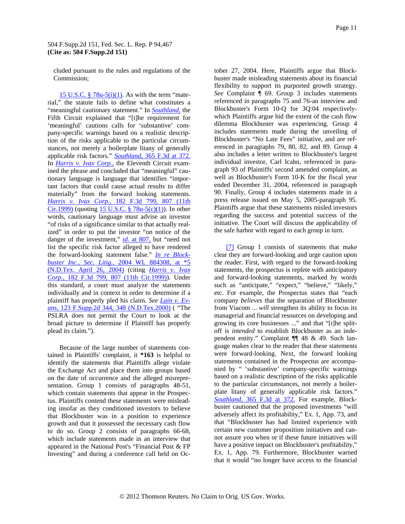<span id="page-10-0"></span>cluded pursuant to the rules and regulations of the Commission;

15 U.S.C.  $\frac{8}{9}$  78u-5(i)(1). As with the term "material," the statute fails to define what constitutes a "meaningful cautionary statement." In *[Southland,](http://www.westlaw.com/Find/Default.wl?rs=dfa1.0&vr=2.0&FindType=Y&SerialNum=2004278488)* the Fifth Circuit explained that "[t]he requirement for 'meaningful' cautions calls for 'substantive' company-specific warnings based on a realistic description of the risks applicable to the particular circumstances, not merely a boilerplate litany of generally applicable risk factors." *[Southland,](http://www.westlaw.com/Find/Default.wl?rs=dfa1.0&vr=2.0&DB=506&FindType=Y&ReferencePositionType=S&SerialNum=2004278488&ReferencePosition=372)* [365 F.3d at 372.](http://www.westlaw.com/Find/Default.wl?rs=dfa1.0&vr=2.0&DB=506&FindType=Y&ReferencePositionType=S&SerialNum=2004278488&ReferencePosition=372) In *[Harris v. Ivax Corp.,](http://www.westlaw.com/Find/Default.wl?rs=dfa1.0&vr=2.0&FindType=Y&SerialNum=1999175850)* the Eleventh Circuit examined the phrase and concluded that "meaningful" cautionary language is language that identifies "important factors that could cause actual results to differ materially" from the forward looking statements. *[Harris v. Ivax Corp.,](http://www.westlaw.com/Find/Default.wl?rs=dfa1.0&vr=2.0&DB=506&FindType=Y&ReferencePositionType=S&SerialNum=1999175850&ReferencePosition=807)* [182 F.3d 799, 807 \(11th](http://www.westlaw.com/Find/Default.wl?rs=dfa1.0&vr=2.0&DB=506&FindType=Y&ReferencePositionType=S&SerialNum=1999175850&ReferencePosition=807)  [Cir.1999\)](http://www.westlaw.com/Find/Default.wl?rs=dfa1.0&vr=2.0&DB=506&FindType=Y&ReferencePositionType=S&SerialNum=1999175850&ReferencePosition=807) (quoting  $15 \text{ U.S.C. }$  § 78u-5(c)(1)). In other words, cautionary language must advise an investor "of risks of a significance similar to that actually realized" in order to put the investor "on notice of the danger of the investment," *[id.](http://www.westlaw.com/Find/Default.wl?rs=dfa1.0&vr=2.0&FindType=Y&SerialNum=1999175850)* [at 807,](http://www.westlaw.com/Find/Default.wl?rs=dfa1.0&vr=2.0&FindType=Y&SerialNum=1999175850) but "need not list the specific risk factor alleged to have rendered the forward-looking statement false." *[In re Block](http://www.westlaw.com/Find/Default.wl?rs=dfa1.0&vr=2.0&DB=0000999&FindType=Y&SerialNum=2004367758)[buster Inc., Sec. Litig.,](http://www.westlaw.com/Find/Default.wl?rs=dfa1.0&vr=2.0&DB=0000999&FindType=Y&SerialNum=2004367758)* [2004 WL 884308, at \\*5](http://www.westlaw.com/Find/Default.wl?rs=dfa1.0&vr=2.0&DB=0000999&FindType=Y&SerialNum=2004367758)  [\(N.D.Tex. April 26, 2004\)](http://www.westlaw.com/Find/Default.wl?rs=dfa1.0&vr=2.0&DB=0000999&FindType=Y&SerialNum=2004367758) (citing *[Harris v. Ivax](http://www.westlaw.com/Find/Default.wl?rs=dfa1.0&vr=2.0&DB=506&FindType=Y&ReferencePositionType=S&SerialNum=1999175850&ReferencePosition=807)  [Corp.,](http://www.westlaw.com/Find/Default.wl?rs=dfa1.0&vr=2.0&DB=506&FindType=Y&ReferencePositionType=S&SerialNum=1999175850&ReferencePosition=807)* [182 F.3d 799, 807 \(11th Cir.1999\)](http://www.westlaw.com/Find/Default.wl?rs=dfa1.0&vr=2.0&DB=506&FindType=Y&ReferencePositionType=S&SerialNum=1999175850&ReferencePosition=807)). Under this standard, a court must analyze the statements individually and in context in order to determine if a plaintiff has properly pled his claim. *See [Lain v. Ev](http://www.westlaw.com/Find/Default.wl?rs=dfa1.0&vr=2.0&DB=4637&FindType=Y&ReferencePositionType=S&SerialNum=2000587684&ReferencePosition=348)[ans,](http://www.westlaw.com/Find/Default.wl?rs=dfa1.0&vr=2.0&DB=4637&FindType=Y&ReferencePositionType=S&SerialNum=2000587684&ReferencePosition=348)* [123 F.Supp.2d 344, 348 \(N.D.Tex.2000\)](http://www.westlaw.com/Find/Default.wl?rs=dfa1.0&vr=2.0&DB=4637&FindType=Y&ReferencePositionType=S&SerialNum=2000587684&ReferencePosition=348) ( "The PSLRA does not permit the Court to look at the broad picture to determine if Plaintiff has properly plead its claim.").

Because of the large number of statements contained in Plaintiffs' complaint, it **\*163** is helpful to identify the statements that Plaintiffs allege violate the Exchange Act and place them into groups based on the date of occurrence and the alleged misrepresentation. Group 1 consists of paragraphs 48-51, which contain statements that appear in the Prospectus. Plaintiffs contend these statements were misleading insofar as they conditioned investors to believe that Blockbuster was in a position to experience growth and that it possessed the necessary cash flow to do so. Group 2 consists of paragraphs 66-68, which include statements made in an interview that appeared in the National Post's "Financial Post & FP Investing" and during a conference call held on Oc-

initiative. The Court will discuss the applicability of the safe harbor with regard to each group in turn. tober 27, 2004. Here, Plaintiffs argue that Blockbuster made misleading statements about its financial flexibility to support its purported growth strategy. *See* Complaint ¶ 69. Group 3 includes statements referenced in paragraphs 75 and 76-an interview and Blockbuster's Form 10-Q for 3Q:04 respectivelywhich Plaintiffs argue hid the extent of the cash flow dilemma Blockbuster was experiencing. Group 4 includes statements made during the unveiling of Blockbuster's "No Late Fees" initiative, and are referenced in paragraphs 79, 80, 82, and 89. Group 4 also includes a letter written to Blockbuster's largest individual investor, Carl Icahn, referenced in paragraph 93 of Plaintiffs' second amended complaint, as well as Blockbuster's Form 10-K for the fiscal year ended December 31, 2004, referenced in paragraph 90. Finally, Group 4 includes statements made in a press release issued on May 5, 2005-paragraph 95. Plaintiffs argue that these statements misled investors regarding the success and potential success of the

[\[7\]](#page-1-0) Group 1 consists of statements that make clear they are forward-looking and urge caution upon the reader. First, with regard to the forward-looking statements, the prospectus is replete with anticipatory and forward-looking statements, marked by words such as "anticipate," "expect," "believe," "likely," etc. For example, the Prospectus states that "each company *believes* that the separation of Blockbuster from Viacom ... *will* strengthen its ability to focus its managerial and financial resources on developing and growing its core businesses ..." and that "[t]he splitoff is *intended* to establish Blockbuster as an independent entity." Complaint ¶¶ 48 & 49. Such language makes clear to the reader that these statements were forward-looking. Next, the forward looking statements contained in the Prospectus are accompanied by " 'substantive' company-specific warnings based on a realistic description of the risks applicable to the particular circumstances, not merely a boilerplate litany of generally applicable risk factors." *[Southland,](http://www.westlaw.com/Find/Default.wl?rs=dfa1.0&vr=2.0&DB=506&FindType=Y&ReferencePositionType=S&SerialNum=2004278488&ReferencePosition=372)* [365 F.3d at 372.](http://www.westlaw.com/Find/Default.wl?rs=dfa1.0&vr=2.0&DB=506&FindType=Y&ReferencePositionType=S&SerialNum=2004278488&ReferencePosition=372) For example, Blockbuster cautioned that the proposed investments "will adversely affect its profitability," Ex. 1, App. 73, and that "Blockbuster has had limited experience with certain new customer proposition initiatives and cannot assure you when or if these future initiatives will have a positive impact on Blockbuster's profitability," Ex. 1, App. 79. Furthermore, Blockbuster warned that it would "no longer have access to the financial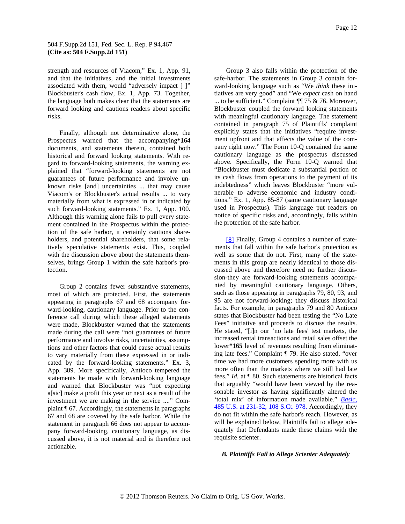<span id="page-11-0"></span>strength and resources of Viacom," Ex. 1, App. 91, and that the initiatives, and the initial investments associated with them, would "adversely impact [ ]" Blockbuster's cash flow, Ex. 1, App. 73. Together, the language both makes clear that the statements are forward looking and cautions readers about specific risks.

selves, brings Group 1 within the safe harbor's protection. Finally, although not determinative alone, the Prospectus warned that the accompanying**\*164** documents, and statements therein, contained both historical and forward looking statements. With regard to forward-looking statements, the warning explained that "forward-looking statements are not guarantees of future performance and involve unknown risks [and] uncertainties ... that may cause Viacom's or Blockbuster's actual results ... to vary materially from what is expressed in or indicated by such forward-looking statements." Ex. 1, App. 100. Although this warning alone fails to pull every statement contained in the Prospectus within the protection of the safe harbor, it certainly cautions shareholders, and potential shareholders, that some relatively speculative statements exist. This, coupled with the discussion above about the statements them-

cussed above, it is not material and is therefore not actionable. Group 2 contains fewer substantive statements, most of which are protected. First, the statements appearing in paragraphs 67 and 68 accompany forward-looking, cautionary language. Prior to the conference call during which these alleged statements were made, Blockbuster warned that the statements made during the call were "not guarantees of future performance and involve risks, uncertainties, assumptions and other factors that could cause actual results to vary materially from these expressed in or indicated by the forward-looking statements." Ex. 3, App. 389. More specifically, Antioco tempered the statements he made with forward-looking language and warned that Blockbuster was "not expecting a[sic] make a profit this year or next as a result of the investment we are making in the service ...." Complaint ¶ 67. Accordingly, the statements in paragraphs 67 and 68 are covered by the safe harbor. While the statement in paragraph 66 does not appear to accompany forward-looking, cautionary language, as dis-

notice of specific risks and, accordingly, falls within the protection of the safe harbor. Group 3 also falls within the protection of the safe-harbor. The statements in Group 3 contain forward-looking language such as "We *think* these initiatives are very good" and "We *expect* cash on hand ... to be sufficient." Complaint ¶¶ 75 & 76. Moreover, Blockbuster coupled the forward looking statements with meaningful cautionary language. The statement contained in paragraph 75 of Plaintiffs' complaint explicitly states that the initiatives "require investment upfront and that affects the value of the company right now." The Form 10-Q contained the same cautionary language as the prospectus discussed above. Specifically, the Form 10-Q warned that "Blockbuster must dedicate a substantial portion of its cash flows from operations to the payment of its indebtedness" which leaves Blockbuster "more vulnerable to adverse economic and industry conditions." Ex. 1, App. 85-87 (same cautionary language used in Prospectus). This language put readers on

[\[8\]](#page-2-0) Finally, Group 4 contains a number of statements that fall within the safe harbor's protection as well as some that do not. First, many of the statements in this group are nearly identical to those discussed above and therefore need no further discussion-they are forward-looking statements accompanied by meaningful cautionary language. Others, such as those appearing in paragraphs 79, 80, 93, and 95 are not forward-looking; they discuss historical facts. For example, in paragraphs 79 and 80 Antioco states that Blockbuster had been testing the "No Late Fees" initiative and proceeds to discuss the results. He stated, "[i]n our 'no late fees' test markets, the increased rental transactions and retail sales offset the lower**\*165** level of revenues resulting from eliminating late fees." Complaint ¶ 79. He also stated, "over time we had more customers spending more with us more often than the markets where we still had late fees." *Id.* at ¶ 80. Such statements are historical facts that arguably "would have been viewed by the reasonable investor as having significantly altered th[e](http://www.westlaw.com/Find/Default.wl?rs=dfa1.0&vr=2.0&DB=708&FindType=Y&SerialNum=1988031229)  'total mix' of information made available." *[Basic,](http://www.westlaw.com/Find/Default.wl?rs=dfa1.0&vr=2.0&DB=708&FindType=Y&SerialNum=1988031229)* [485 U.S. at 231-32, 108 S.Ct. 978.](http://www.westlaw.com/Find/Default.wl?rs=dfa1.0&vr=2.0&DB=708&FindType=Y&SerialNum=1988031229) Accordingly, they do not fit within the safe harbor's reach. However, as will be explained below, Plaintiffs fail to allege adequately that Defendants made these claims with the requisite scienter.

# *B . Plaintiffs Fail to Allege Scienter Adequately*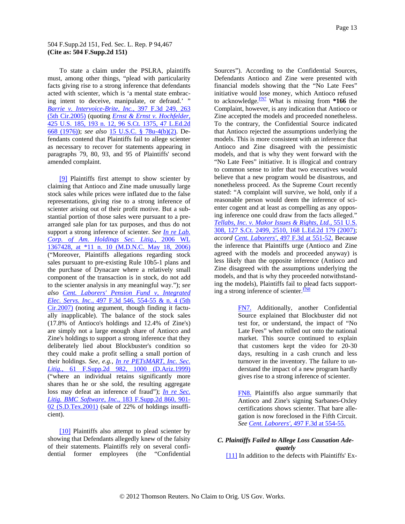<span id="page-12-0"></span>To state a claim under the PSLRA, plaintiffs must, among other things, "plead with particularity facts giving rise to a strong inference that defendants acted with scienter, which is 'a mental state embracing intent to deceive, manipulate, or defraud.' " *[Barrie v. Intervoice-Brite, Inc.,](http://www.westlaw.com/Find/Default.wl?rs=dfa1.0&vr=2.0&DB=506&FindType=Y&ReferencePositionType=S&SerialNum=2005967379&ReferencePosition=263)* [397 F.3d 249, 263](http://www.westlaw.com/Find/Default.wl?rs=dfa1.0&vr=2.0&DB=506&FindType=Y&ReferencePositionType=S&SerialNum=2005967379&ReferencePosition=263)  [\(5th Cir.2005\)](http://www.westlaw.com/Find/Default.wl?rs=dfa1.0&vr=2.0&DB=506&FindType=Y&ReferencePositionType=S&SerialNum=2005967379&ReferencePosition=263) (quoting *[Ernst & Ernst v. Hochfelder,](http://www.westlaw.com/Find/Default.wl?rs=dfa1.0&vr=2.0&DB=708&FindType=Y&SerialNum=1976142348)* [425 U.S. 185, 193 n. 12, 96 S.Ct. 1375, 47 L.Ed.2d](http://www.westlaw.com/Find/Default.wl?rs=dfa1.0&vr=2.0&DB=708&FindType=Y&SerialNum=1976142348)  [668 \(1976\)\)](http://www.westlaw.com/Find/Default.wl?rs=dfa1.0&vr=2.0&DB=708&FindType=Y&SerialNum=1976142348); *see also* [15 U.S.C. § 78u-4\(b\)\(2\)](http://www.westlaw.com/Find/Default.wl?rs=dfa1.0&vr=2.0&DB=1000546&DocName=15USCAS78U-4&FindType=L&ReferencePositionType=T&ReferencePosition=SP_c0ae00006c482). Defendants contend that Plaintiffs fail to allege scienter as necessary to recover for statements appearing in paragraphs 79, 80, 93, and 95 of Plaintiffs' second amended complaint.

[\[9\]](#page-2-0) Plaintiffs first attempt to show scienter by claiming that Antioco and Zine made unusually large stock sales while prices were inflated due to the false representations, giving rise to a strong inference of scienter arising out of their profit motive. But a substantial portion of those sales were pursuant to a prearranged sale plan for tax purposes, and thus do not support a strong inference of scienter. *See [In re Lab.](http://www.westlaw.com/Find/Default.wl?rs=dfa1.0&vr=2.0&DB=0000999&FindType=Y&SerialNum=2009197285)  [Corp. of Am. Holdings Sec. Litig.,](http://www.westlaw.com/Find/Default.wl?rs=dfa1.0&vr=2.0&DB=0000999&FindType=Y&SerialNum=2009197285)* [2006 WL](http://www.westlaw.com/Find/Default.wl?rs=dfa1.0&vr=2.0&DB=0000999&FindType=Y&SerialNum=2009197285)  [1367428, at \\*11 n. 10 \(M.D.N.C. May 18, 2006\)](http://www.westlaw.com/Find/Default.wl?rs=dfa1.0&vr=2.0&DB=0000999&FindType=Y&SerialNum=2009197285) ("Moreover, Plaintiffs allegations regarding stock sales pursuant to pre-existing Rule 10b5-1 plans and the purchase of Dynacare where a relatively small component of the transaction is in stock, do not add to the scienter analysis in any meaningful way."); *see also [Cent. Laborers' Pension Fund v, Integrated](http://www.westlaw.com/Find/Default.wl?rs=dfa1.0&vr=2.0&DB=506&FindType=Y&ReferencePositionType=S&SerialNum=2012954457&ReferencePosition=554)  [Elec. Servs. Inc.,](http://www.westlaw.com/Find/Default.wl?rs=dfa1.0&vr=2.0&DB=506&FindType=Y&ReferencePositionType=S&SerialNum=2012954457&ReferencePosition=554)* [497 F.3d 546, 554-55 & n. 4 \(5th](http://www.westlaw.com/Find/Default.wl?rs=dfa1.0&vr=2.0&DB=506&FindType=Y&ReferencePositionType=S&SerialNum=2012954457&ReferencePosition=554)  [Cir.2007\)](http://www.westlaw.com/Find/Default.wl?rs=dfa1.0&vr=2.0&DB=506&FindType=Y&ReferencePositionType=S&SerialNum=2012954457&ReferencePosition=554) (noting argument, though finding it factually inapplicable). The balance of the stock sales (17.8% of Antioco's holdings and 12.4% of Zine's) are simply not a large enough share of Antioco and Zine's holdings to support a strong inference that they deliberately lied about Blockbuster's condition so they could make a profit selling a small portion of their holdings. *See, e.g., [In re PETsMART, Inc. Sec.](http://www.westlaw.com/Find/Default.wl?rs=dfa1.0&vr=2.0&DB=4637&FindType=Y&ReferencePositionType=S&SerialNum=1999198654&ReferencePosition=1000)  [Litig.,](http://www.westlaw.com/Find/Default.wl?rs=dfa1.0&vr=2.0&DB=4637&FindType=Y&ReferencePositionType=S&SerialNum=1999198654&ReferencePosition=1000)* [61 F.Supp.2d 982, 1000 \(D.Ariz.1999\)](http://www.westlaw.com/Find/Default.wl?rs=dfa1.0&vr=2.0&DB=4637&FindType=Y&ReferencePositionType=S&SerialNum=1999198654&ReferencePosition=1000) ("where an individual retains significantly more shares than he or she sold, the resulting aggregate loss may defeat an inference of fraud"); *[In re Sec.](http://www.westlaw.com/Find/Default.wl?rs=dfa1.0&vr=2.0&DB=4637&FindType=Y&ReferencePositionType=S&SerialNum=2002090282&ReferencePosition=901)  [Litig. BMC Software, Inc.,](http://www.westlaw.com/Find/Default.wl?rs=dfa1.0&vr=2.0&DB=4637&FindType=Y&ReferencePositionType=S&SerialNum=2002090282&ReferencePosition=901)* [183 F.Supp.2d 860, 901-](http://www.westlaw.com/Find/Default.wl?rs=dfa1.0&vr=2.0&DB=4637&FindType=Y&ReferencePositionType=S&SerialNum=2002090282&ReferencePosition=901) [02 \(S.D](http://www.westlaw.com/Find/Default.wl?rs=dfa1.0&vr=2.0&DB=4637&FindType=Y&ReferencePositionType=S&SerialNum=2002090282&ReferencePosition=901).Tex.2001) (sale of 22% of holdings insufficient).

[\[10\]](#page-2-0) Plaintiffs also attempt to plead scienter by showing that Defendants allegedly knew of the falsity of their statements. Plaintiffs rely on several confidential former employees (the "Confidential Sources"). According to the Confidential Sources, Defendants Antioco and Zine were presented with financial models showing that the "No Late Fees" initiative would lose money, which Antioco refused to acknowledge.[FN7](#page-12-0) What is missing from **\*166** the Complaint, however, is any indication that Antioco or Zine accepted the models and proceeded nonetheless. To the contrary, the Confidential Source indicated that Antioco rejected the assumptions underlying the models. This is more consistent with an inference that Antioco and Zine disagreed with the pessimistic models, and that is why they went forward with the "No Late Fees" initiative. It is illogical and contrary to common sense to infer that two executives would believe that a new program would be disastrous, and nonetheless proceed. As the Supreme Court recently stated: "A complaint will survive, we hold, only if a reasonable person would deem the inference of scienter cogent and at least as compelling as any opposing inference one could draw from the facts alleged." *[Tellabs, Inc. v. Makor Issues & Rights, Ltd.,](http://www.westlaw.com/Find/Default.wl?rs=dfa1.0&vr=2.0&DB=708&FindType=Y&ReferencePositionType=S&SerialNum=2012518448&ReferencePosition=2510)* [551 U.S.](http://www.westlaw.com/Find/Default.wl?rs=dfa1.0&vr=2.0&DB=708&FindType=Y&ReferencePositionType=S&SerialNum=2012518448&ReferencePosition=2510)  [308, 127 S.Ct. 2499, 2510, 168 L.Ed.2d 179 \(2007\)](http://www.westlaw.com/Find/Default.wl?rs=dfa1.0&vr=2.0&DB=708&FindType=Y&ReferencePositionType=S&SerialNum=2012518448&ReferencePosition=2510); *accord [Cent. Laborers',](http://www.westlaw.com/Find/Default.wl?rs=dfa1.0&vr=2.0&DB=506&FindType=Y&ReferencePositionType=S&SerialNum=2012954457&ReferencePosition=551)* [497 F.3d at 551-52.](http://www.westlaw.com/Find/Default.wl?rs=dfa1.0&vr=2.0&DB=506&FindType=Y&ReferencePositionType=S&SerialNum=2012954457&ReferencePosition=551) Because the inference that Plaintiffs urge (Antioco and Zine agreed with the models and proceeded anyway) is less likely than the opposite inference (Antioco and Zine disagreed with the assumptions underlying the models, and that is why they proceeded notwithstanding the models), Plaintiffs fail to plead facts supporting a strong inference of scienter.<sup>FN8</sup>

> [FN7.](#page-12-0) Additionally, another Confidential Source explained that Blockbuster did not test for, or understand, the impact of "No Late Fees" when rolled out onto the national market. This source continued to explain that customers kept the video for 20-30 days, resulting in a cash crunch and less turnover in the inventory. The failure to understand the impact of a new program hardly gives rise to a strong inference of scienter.

> [FN8.](#page-12-0) Plaintiffs also argue summarily that Antioco and Zine's signing Sarbanes-Oxley certifications shows scienter. That bare allegation is now foreclosed in the Fifth Circuit. *See Cent. Laborers',* 497 F.3d at 554-55.

# *C. Plaintiffs Failed to Allege Loss Causation Adequately*

[\[11\]](#page-2-0) In addition to the defects with Plaintiffs' Ex-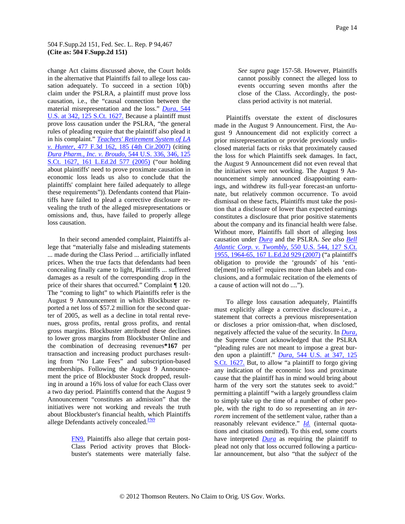<span id="page-13-0"></span>change Act claims discussed above, the Court holds in the alternative that Plaintiffs fail to allege loss causation adequately. To succeed in a section 10(b) claim under the PSLRA, a plaintiff must prove loss causation, i.e., the "causal connection between the material misrepresentation and the loss." *[Dura,](http://www.westlaw.com/Find/Default.wl?rs=dfa1.0&vr=2.0&DB=708&FindType=Y&SerialNum=2006478482)* [544](http://www.westlaw.com/Find/Default.wl?rs=dfa1.0&vr=2.0&DB=708&FindType=Y&SerialNum=2006478482)  [U.S. at 342, 125 S.Ct. 1627.](http://www.westlaw.com/Find/Default.wl?rs=dfa1.0&vr=2.0&DB=708&FindType=Y&SerialNum=2006478482) Because a plaintiff must prove loss causation under the PSLRA, "the general rules of pleading require that the plaintiff also plead it in his complaint." *[Teachers' Retirement System of LA](http://www.westlaw.com/Find/Default.wl?rs=dfa1.0&vr=2.0&DB=506&FindType=Y&ReferencePositionType=S&SerialNum=2011492301&ReferencePosition=185)  [v. Hunter,](http://www.westlaw.com/Find/Default.wl?rs=dfa1.0&vr=2.0&DB=506&FindType=Y&ReferencePositionType=S&SerialNum=2011492301&ReferencePosition=185)* [477 F.3d 162, 185 \(4th Cir.2007\)](http://www.westlaw.com/Find/Default.wl?rs=dfa1.0&vr=2.0&DB=506&FindType=Y&ReferencePositionType=S&SerialNum=2011492301&ReferencePosition=185) (citing *[Dura Pharm., Inc. v. Broudo,](http://www.westlaw.com/Find/Default.wl?rs=dfa1.0&vr=2.0&DB=708&FindType=Y&SerialNum=2006478482)* [544 U.S. 336, 346, 125](http://www.westlaw.com/Find/Default.wl?rs=dfa1.0&vr=2.0&DB=708&FindType=Y&SerialNum=2006478482)  [S.Ct. 1627, 161 L.Ed.2d 577 \(2005\)](http://www.westlaw.com/Find/Default.wl?rs=dfa1.0&vr=2.0&DB=708&FindType=Y&SerialNum=2006478482) ("our holding about plaintiffs' need to prove proximate causation in economic loss leads us also to conclude that the plaintiffs' complaint here failed adequately to allege these requirements")). Defendants contend that Plaintiffs have failed to plead a corrective disclosure revealing the truth of the alleged misrepresentations or omissions and, thus, have failed to properly allege loss causation.

about Blockbuster's financial health, which Plaintiffs allege Defendants actively concealed.<sup>FN9</sup> In their second amended complaint, Plaintiffs allege that "materially false and misleading statements ... made during the Class Period ... artificially inflated prices. When the true facts that defendants had been concealing finally came to light, Plaintiffs ... suffered damages as a result of the corresponding drop in the price of their shares that occurred." Complaint ¶ 120. The "coming to light" to which Plaintiffs refer is the August 9 Announcement in which Blockbuster reported a net loss of \$57.2 million for the second quarter of 2005, as well as a decline in total rental revenues, gross profits, rental gross profits, and rental gross margins. Blockbuster attributed these declines to lower gross margins from Blockbuster Online and the combination of decreasing revenues**\*167** per transaction and increasing product purchases resulting from "No Late Fees" and subscription-based memberships. Following the August 9 Announcement the price of Blockbuster Stock dropped, resulting in around a 16% loss of value for each Class over a two day period. Plaintiffs contend that the August 9 Announcement "constitutes an admission" that the initiatives were not working and reveals the truth

> [FN9.](#page-13-0) Plaintiffs also allege that certain post-Class Period activity proves that Blockbuster's statements were materially false.

*See supra* page 157-58. However, Plaintiffs cannot possibly connect the alleged loss to events occurring seven months after the close of the Class. Accordingly, the postclass period activity is not material.

Plaintiffs overstate the extent of disclosures made in the August 9 Announcement. First, the August 9 Announcement did not explicitly correct a prior misrepresentation or provide previously undisclosed material facts or risks that proximately caused the loss for which Plaintiffs seek damages. In fact, the August 9 Announcement did not even reveal that the initiatives were not working. The August 9 Announcement simply announced disappointing earnings, and withdrew its full-year forecast-an unfortunate, but relatively common occurrence. To avoid dismissal on these facts, Plaintiffs must take the position that a disclosure of lower than expected earnings constitutes a disclosure that prior positive statements about the company and its financial health were false. Without more, Plaintiffs fall short of alleging loss causation under *[Dura](http://www.westlaw.com/Find/Default.wl?rs=dfa1.0&vr=2.0&FindType=Y&SerialNum=2006478482)* and the PSLRA. *See also [Bell](http://www.westlaw.com/Find/Default.wl?rs=dfa1.0&vr=2.0&DB=708&FindType=Y&ReferencePositionType=S&SerialNum=2012293296&ReferencePosition=1964)  [Atlantic Corp. v. Twombly,](http://www.westlaw.com/Find/Default.wl?rs=dfa1.0&vr=2.0&DB=708&FindType=Y&ReferencePositionType=S&SerialNum=2012293296&ReferencePosition=1964)* [550 U.S. 544, 127 S.Ct.](http://www.westlaw.com/Find/Default.wl?rs=dfa1.0&vr=2.0&DB=708&FindType=Y&ReferencePositionType=S&SerialNum=2012293296&ReferencePosition=1964)  [1955, 1964-65, 167 L.Ed.2d 929 \(2007\)](http://www.westlaw.com/Find/Default.wl?rs=dfa1.0&vr=2.0&DB=708&FindType=Y&ReferencePositionType=S&SerialNum=2012293296&ReferencePosition=1964) ("a plaintiff's obligation to provide the 'grounds' of his 'entitle[ment] to relief' requires more than labels and conclusions, and a formulaic recitation of the elements of a cause of action will not do ....").

To allege loss causation adequately, Plaintiffs must explicitly allege a corrective disclosure-i.e., a statement that corrects a previous misrepresentation or discloses a prior omission-that, when disclosed, negatively affected the value of the security. In *[Dura,](http://www.westlaw.com/Find/Default.wl?rs=dfa1.0&vr=2.0&FindType=Y&SerialNum=2006478482)* the Supreme Court acknowledged that the PSLRA "pleading rules are not meant to impose a great burden upon a plaintiff." *[Dura,](http://www.westlaw.com/Find/Default.wl?rs=dfa1.0&vr=2.0&DB=708&FindType=Y&SerialNum=2006478482)* [544 U.S. at 347, 125](http://www.westlaw.com/Find/Default.wl?rs=dfa1.0&vr=2.0&DB=708&FindType=Y&SerialNum=2006478482)  [S.Ct. 1627.](http://www.westlaw.com/Find/Default.wl?rs=dfa1.0&vr=2.0&DB=708&FindType=Y&SerialNum=2006478482) But, to allow "a plaintiff to forgo giving any indication of the economic loss and proximate cause that the plaintiff has in mind would bring about harm of the very sort the statutes seek to avoid:" permitting a plaintiff "with a largely groundless claim to simply take up the time of a number of other people, with the right to do so representing an *in terrorem* increment of the settlement value, rather than a reasonably relevant evidence." *[Id.](http://www.westlaw.com/Find/Default.wl?rs=dfa1.0&vr=2.0&FindType=Y&SerialNum=2006478482)* (internal quotations and citations omitted). To this end, some courts have interpreted *[Dura](http://www.westlaw.com/Find/Default.wl?rs=dfa1.0&vr=2.0&FindType=Y&SerialNum=2006478482)* as requiring the plaintiff to plead not only that loss occurred following a particular announcement, but also "that the *subject* of the